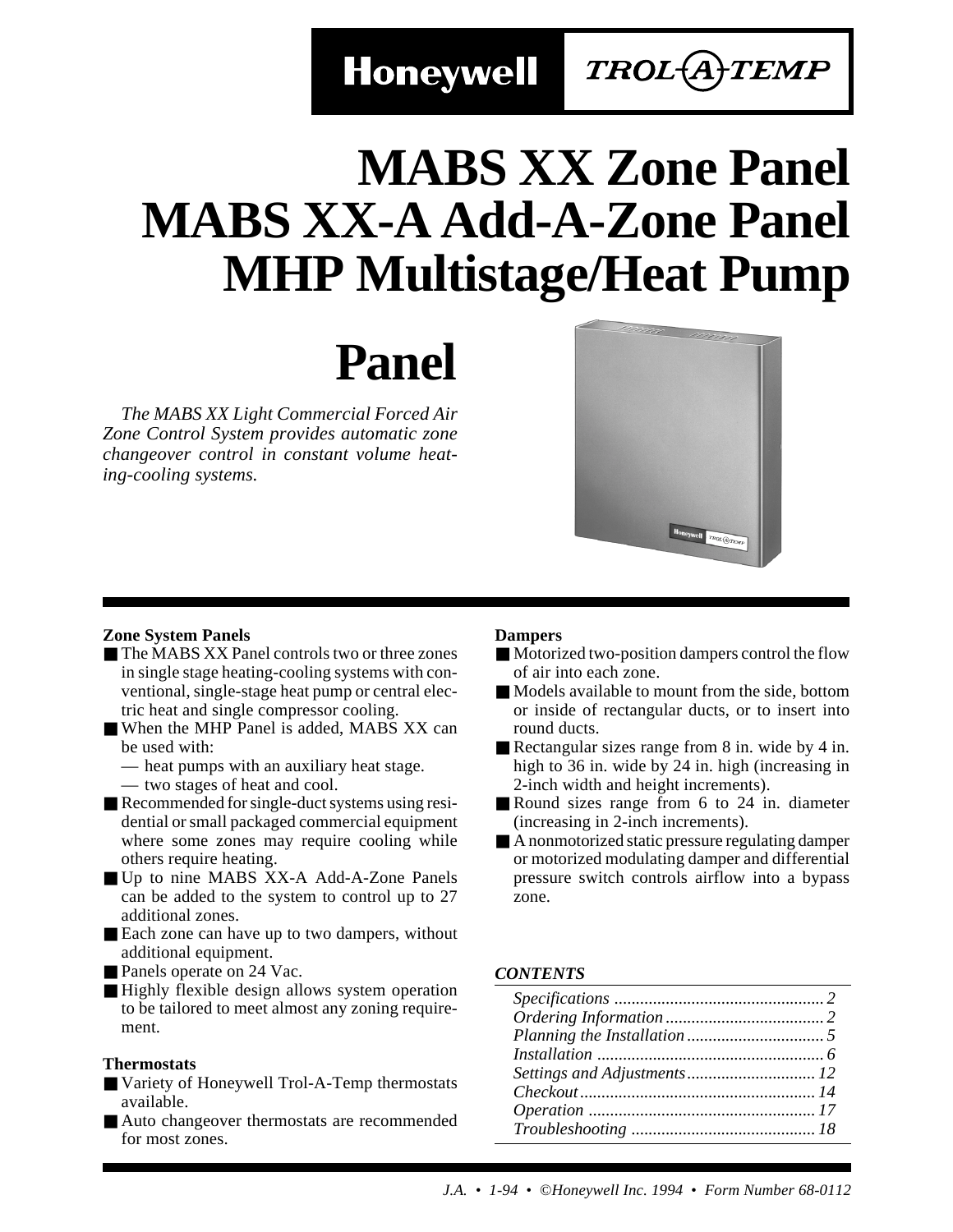**Honeywell** 

### TROL(A)TEMP

# **MABS XX Zone Panel MABS XX-A Add-A-Zone Panel MHP Multistage/Heat Pump**

# **Panel**

*The MABS XX Light Commercial Forced Air Zone Control System provides automatic zone changeover control in constant volume heating-cooling systems.*



### **Zone System Panels**

- The MABS XX Panel controls two or three zones in single stage heating-cooling systems with conventional, single-stage heat pump or central electric heat and single compressor cooling.
- When the MHP Panel is added, MABS XX can be used with:
	- heat pumps with an auxiliary heat stage.
	- two stages of heat and cool.
- Recommended for single-duct systems using residential or small packaged commercial equipment where some zones may require cooling while others require heating.
- Up to nine MABS XX-A Add-A-Zone Panels can be added to the system to control up to 27 additional zones.
- Each zone can have up to two dampers, without additional equipment.
- Panels operate on 24 Vac.
- Highly flexible design allows system operation to be tailored to meet almost any zoning requirement.

### **Thermostats**

- Variety of Honeywell Trol-A-Temp thermostats available.
- Auto changeover thermostats are recommended for most zones.

### **Dampers**

- Motorized two-position dampers control the flow of air into each zone.
- Models available to mount from the side, bottom or inside of rectangular ducts, or to insert into round ducts.
- Rectangular sizes range from 8 in. wide by 4 in. high to 36 in. wide by 24 in. high (increasing in 2-inch width and height increments).
- Round sizes range from 6 to 24 in. diameter (increasing in 2-inch increments).
- A nonmotorized static pressure regulating damper or motorized modulating damper and differential pressure switch controls airflow into a bypass zone.

### *CONTENTS*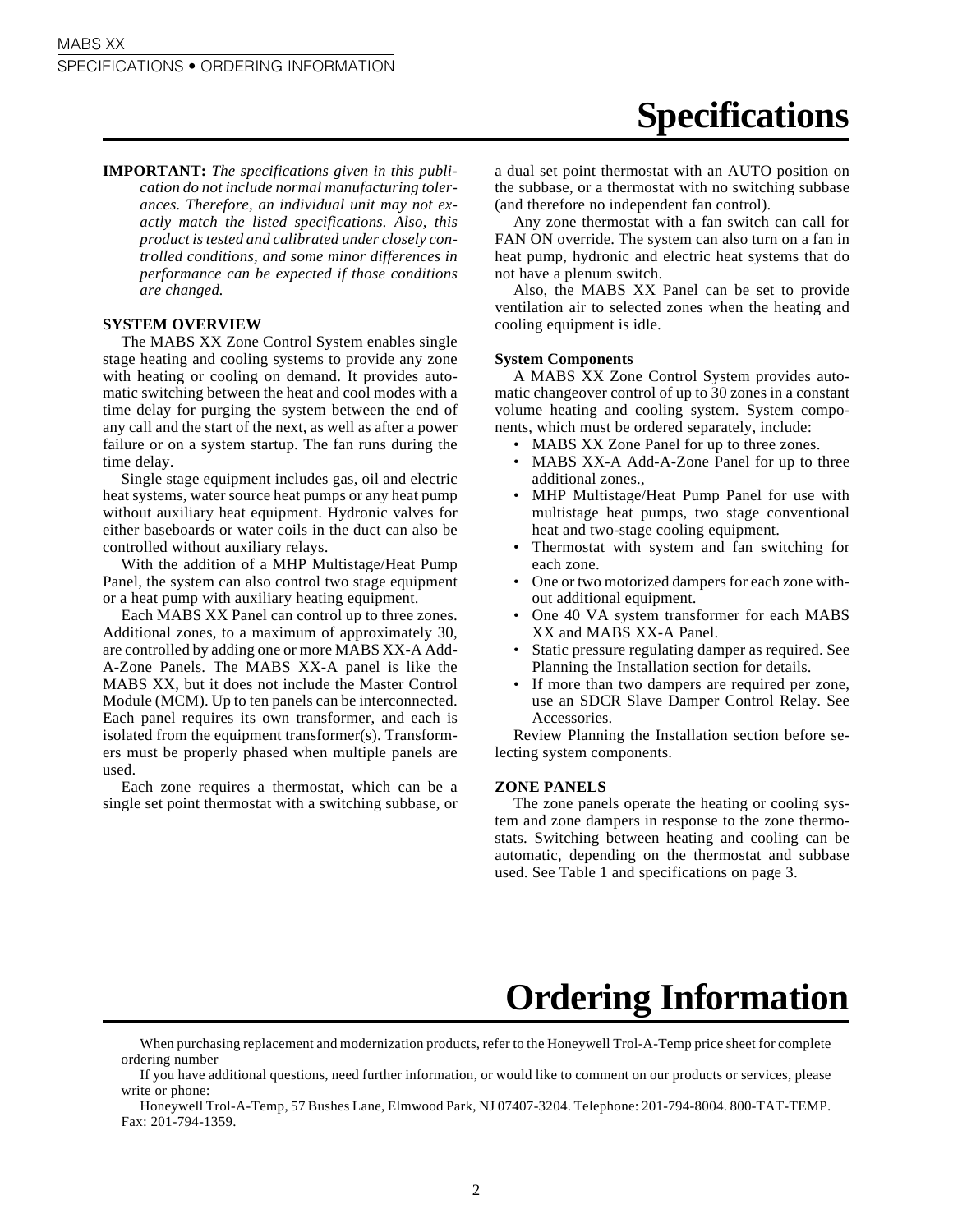**Specifications**

**IMPORTANT:** *The specifications given in this publication do not include normal manufacturing tolerances. Therefore, an individual unit may not exactly match the listed specifications. Also, this product is tested and calibrated under closely controlled conditions, and some minor differences in performance can be expected if those conditions are changed.*

### **SYSTEM OVERVIEW**

The MABS XX Zone Control System enables single stage heating and cooling systems to provide any zone with heating or cooling on demand. It provides automatic switching between the heat and cool modes with a time delay for purging the system between the end of any call and the start of the next, as well as after a power failure or on a system startup. The fan runs during the time delay.

Single stage equipment includes gas, oil and electric heat systems, water source heat pumps or any heat pump without auxiliary heat equipment. Hydronic valves for either baseboards or water coils in the duct can also be controlled without auxiliary relays.

With the addition of a MHP Multistage/Heat Pump Panel, the system can also control two stage equipment or a heat pump with auxiliary heating equipment.

Each MABS XX Panel can control up to three zones. Additional zones, to a maximum of approximately 30, are controlled by adding one or more MABS XX-A Add-A-Zone Panels. The MABS XX-A panel is like the MABS XX, but it does not include the Master Control Module (MCM). Up to ten panels can be interconnected. Each panel requires its own transformer, and each is isolated from the equipment transformer(s). Transformers must be properly phased when multiple panels are used.

Each zone requires a thermostat, which can be a single set point thermostat with a switching subbase, or a dual set point thermostat with an AUTO position on the subbase, or a thermostat with no switching subbase (and therefore no independent fan control).

Any zone thermostat with a fan switch can call for FAN ON override. The system can also turn on a fan in heat pump, hydronic and electric heat systems that do not have a plenum switch.

Also, the MABS XX Panel can be set to provide ventilation air to selected zones when the heating and cooling equipment is idle.

#### **System Components**

A MABS XX Zone Control System provides automatic changeover control of up to 30 zones in a constant volume heating and cooling system. System components, which must be ordered separately, include:

- MABS XX Zone Panel for up to three zones.
- MABS XX-A Add-A-Zone Panel for up to three additional zones.,
- MHP Multistage/Heat Pump Panel for use with multistage heat pumps, two stage conventional heat and two-stage cooling equipment.
- Thermostat with system and fan switching for each zone.
- One or two motorized dampers for each zone without additional equipment.
- One 40 VA system transformer for each MABS XX and MABS XX-A Panel.
- Static pressure regulating damper as required. See Planning the Installation section for details.
- If more than two dampers are required per zone, use an SDCR Slave Damper Control Relay. See Accessories.

Review Planning the Installation section before selecting system components.

#### **ZONE PANELS**

The zone panels operate the heating or cooling system and zone dampers in response to the zone thermostats. Switching between heating and cooling can be automatic, depending on the thermostat and subbase used. See Table 1 and specifications on page 3.

### **Ordering Information**

When purchasing replacement and modernization products, refer to the Honeywell Trol-A-Temp price sheet for complete ordering number

If you have additional questions, need further information, or would like to comment on our products or services, please write or phone:

Honeywell Trol-A-Temp, 57 Bushes Lane, Elmwood Park, NJ 07407-3204. Telephone: 201-794-8004. 800-TAT-TEMP. Fax: 201-794-1359.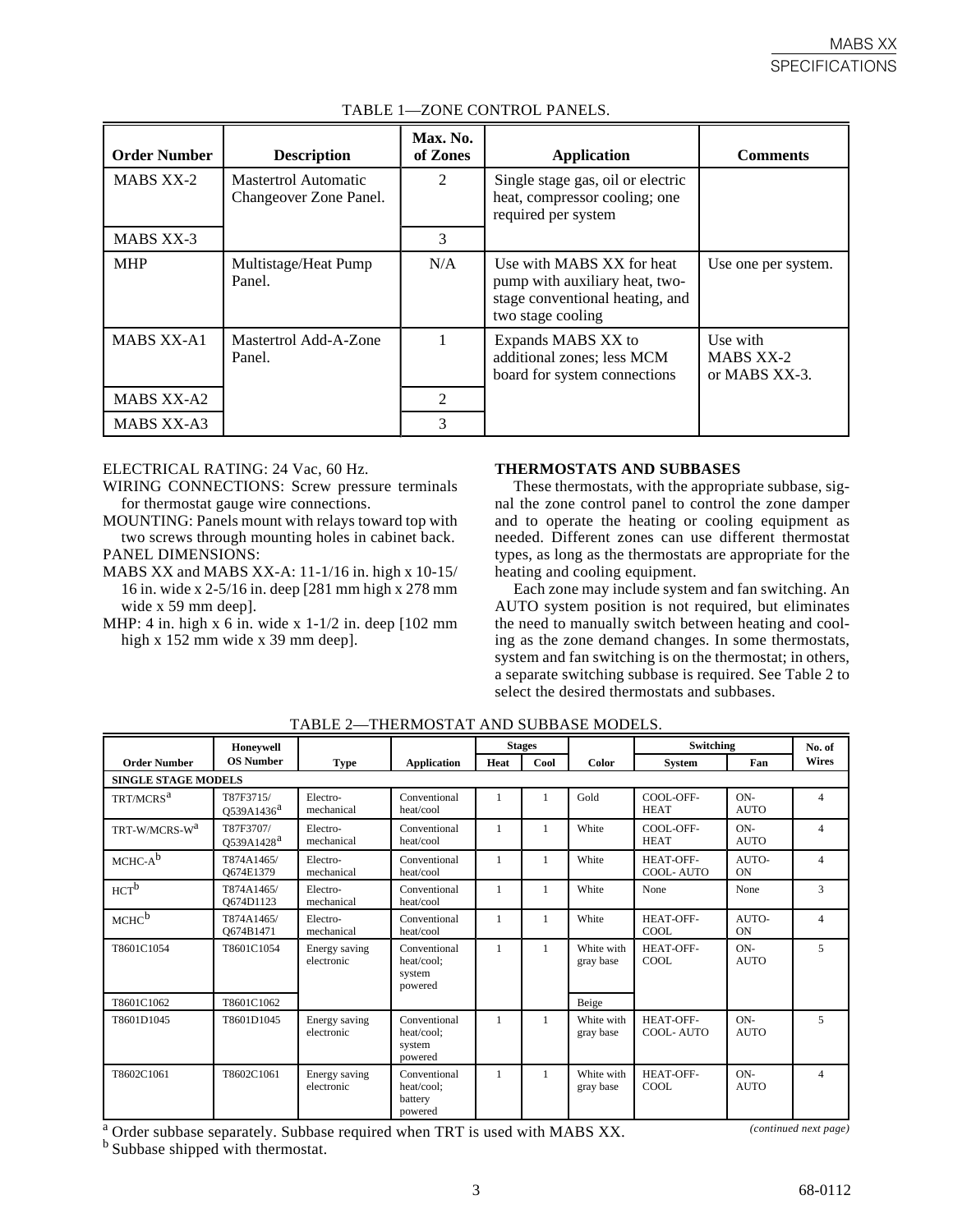| <b>Order Number</b> | <b>Description</b>                             | Max. No.<br>of Zones | <b>Application</b>                                                                                                  | <b>Comments</b>                        |
|---------------------|------------------------------------------------|----------------------|---------------------------------------------------------------------------------------------------------------------|----------------------------------------|
| <b>MABS XX-2</b>    | Mastertrol Automatic<br>Changeover Zone Panel. | 2                    | Single stage gas, oil or electric<br>heat, compressor cooling; one<br>required per system                           |                                        |
| MABS XX-3           |                                                | 3                    |                                                                                                                     |                                        |
| <b>MHP</b>          | Multistage/Heat Pump<br>Panel.                 | N/A                  | Use with MABS XX for heat<br>pump with auxiliary heat, two-<br>stage conventional heating, and<br>two stage cooling | Use one per system.                    |
| <b>MABS XX-A1</b>   | Mastertrol Add-A-Zone<br>Panel.                | 1                    | Expands MABS XX to<br>additional zones; less MCM<br>board for system connections                                    | Use with<br>MABS XX-2<br>or MABS XX-3. |
| <b>MABS XX-A2</b>   |                                                | 2                    |                                                                                                                     |                                        |
| MABS XX-A3          |                                                | 3                    |                                                                                                                     |                                        |

### TABLE 1—ZONE CONTROL PANELS.

ELECTRICAL RATING: 24 Vac, 60 Hz.

WIRING CONNECTIONS: Screw pressure terminals for thermostat gauge wire connections.

- MOUNTING: Panels mount with relays toward top with two screws through mounting holes in cabinet back. PANEL DIMENSIONS:
- MABS XX and MABS XX-A: 11-1/16 in. high x 10-15/ 16 in. wide x 2-5/16 in. deep [281 mm high x 278 mm wide x 59 mm deep].
- MHP: 4 in. high  $x$  6 in. wide  $x$  1-1/2 in. deep [102 mm high x 152 mm wide x 39 mm deep].

### **THERMOSTATS AND SUBBASES**

These thermostats, with the appropriate subbase, signal the zone control panel to control the zone damper and to operate the heating or cooling equipment as needed. Different zones can use different thermostat types, as long as the thermostats are appropriate for the heating and cooling equipment.

Each zone may include system and fan switching. An AUTO system position is not required, but eliminates the need to manually switch between heating and cooling as the zone demand changes. In some thermostats, system and fan switching is on the thermostat; in others, a separate switching subbase is required. See Table 2 to select the desired thermostats and subbases.

|                            | Honevwell                           |                             |                                                  |              | <b>Stages</b> |                         | Switching                |                      | No. of         |
|----------------------------|-------------------------------------|-----------------------------|--------------------------------------------------|--------------|---------------|-------------------------|--------------------------|----------------------|----------------|
| <b>Order Number</b>        | <b>OS Number</b>                    | <b>Type</b>                 | <b>Application</b>                               | Heat         | Cool          | Color                   | <b>System</b>            | Fan                  | <b>Wires</b>   |
| <b>SINGLE STAGE MODELS</b> |                                     |                             |                                                  |              |               |                         |                          |                      |                |
| TRT/MCRS <sup>a</sup>      | T87F3715/<br>Q539A1436 <sup>a</sup> | Electro-<br>mechanical      | Conventional<br>heat/cool                        |              |               | Gold                    | COOL-OFF-<br><b>HEAT</b> | $ON-$<br><b>AUTO</b> | $\overline{4}$ |
| TRT-W/MCRS-W <sup>a</sup>  | T87F3707/<br>O539A1428 <sup>a</sup> | Electro-<br>mechanical      | Conventional<br>heat/cool                        | $\mathbf{1}$ | 1             | White                   | COOL-OFF-<br><b>HEAT</b> | $ON-$<br><b>AUTO</b> | $\overline{4}$ |
| $MCHC-A^b$                 | T874A1465/<br>O674E1379             | Electro-<br>mechanical      | Conventional<br>heat/cool                        | 1            | 1             | White                   | HEAT-OFF-<br>COOL-AUTO   | AUTO-<br>ON          | $\overline{4}$ |
| $HCT^b$                    | T874A1465/<br>O674D1123             | Electro-<br>mechanical      | Conventional<br>heat/cool                        | 1            | 1             | White                   | None                     | None                 | 3              |
| MCHC <sup>b</sup>          | T874A1465/<br>O674B1471             | Electro-<br>mechanical      | Conventional<br>heat/cool                        | 1            | 1             | White                   | HEAT-OFF-<br>COOL        | AUTO-<br>ON          | $\overline{4}$ |
| T8601C1054                 | T8601C1054                          | Energy saving<br>electronic | Conventional<br>heat/cool;<br>system<br>powered  | 1            | $\mathbf{1}$  | White with<br>gray base | HEAT-OFF-<br>COOL        | $ON-$<br><b>AUTO</b> | 5              |
| T8601C1062                 | T8601C1062                          |                             |                                                  |              |               | Beige                   |                          |                      |                |
| T8601D1045                 | T8601D1045                          | Energy saving<br>electronic | Conventional<br>heat/cool;<br>system<br>powered  | 1            | $\mathbf{1}$  | White with<br>gray base | HEAT-OFF-<br>COOL-AUTO   | $ON-$<br><b>AUTO</b> | 5              |
| T8602C1061                 | T8602C1061                          | Energy saving<br>electronic | Conventional<br>heat/cool;<br>battery<br>powered | 1            | $\mathbf{1}$  | White with<br>gray base | HEAT-OFF-<br>COOL        | $ON-$<br><b>AUTO</b> | $\overline{4}$ |

TABLE 2—THERMOSTAT AND SUBBASE MODELS.

<sup>a</sup> Order subbase separately. Subbase required when TRT is used with MABS XX. *(continued next page)* 

<sup>b</sup> Subbase shipped with thermostat.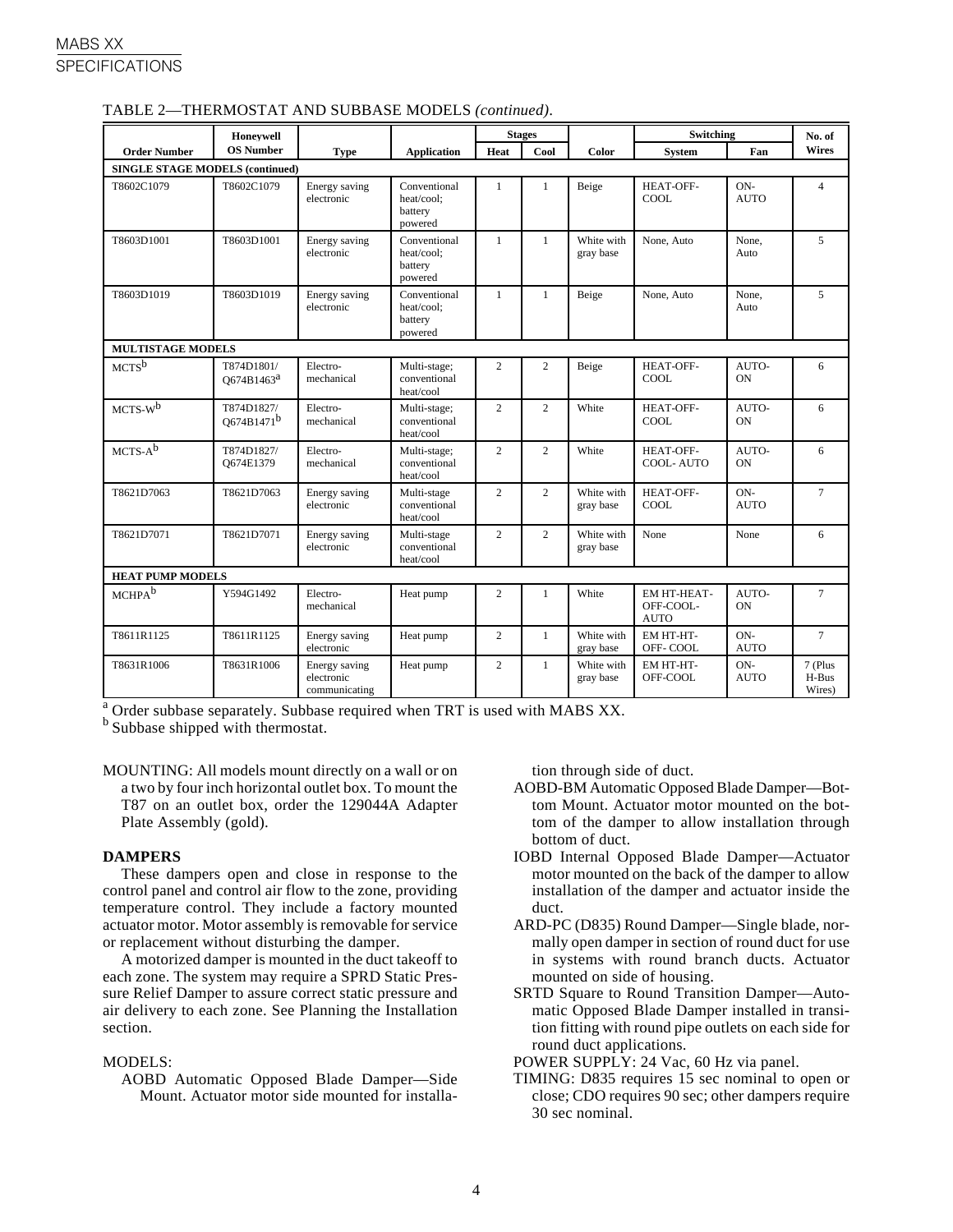|                                        | Honeywell                            |                                              |                                                  |                | <b>Stages</b>  |                         | Switching                               |                      | No. of                     |
|----------------------------------------|--------------------------------------|----------------------------------------------|--------------------------------------------------|----------------|----------------|-------------------------|-----------------------------------------|----------------------|----------------------------|
| <b>Order Number</b>                    | <b>OS Number</b>                     | <b>Type</b>                                  | <b>Application</b>                               | Heat           | Cool           | Color                   | <b>System</b>                           | Fan                  | <b>Wires</b>               |
| <b>SINGLE STAGE MODELS (continued)</b> |                                      |                                              |                                                  |                |                |                         |                                         |                      |                            |
| T8602C1079                             | T8602C1079                           | Energy saving<br>electronic                  | Conventional<br>heat/cool:<br>battery<br>powered | $\mathbf{1}$   | $\mathbf{1}$   | Beige                   | <b>HEAT-OFF-</b><br>COOL.               | ON-<br><b>AUTO</b>   | $\overline{4}$             |
| T8603D1001                             | T8603D1001                           | Energy saving<br>electronic                  | Conventional<br>heat/cool:<br>battery<br>powered | $\mathbf{1}$   | $\mathbf{1}$   | White with<br>gray base | None, Auto                              | None.<br>Auto        | 5                          |
| T8603D1019                             | T8603D1019                           | Energy saving<br>electronic                  | Conventional<br>heat/cool:<br>battery<br>powered | $\mathbf{1}$   | $\mathbf{1}$   | Beige                   | None, Auto                              | None.<br>Auto        | 5                          |
| <b>MULTISTAGE MODELS</b>               |                                      |                                              |                                                  |                |                |                         |                                         |                      |                            |
| $MCTS^b$                               | T874D1801/<br>Q674B1463 <sup>a</sup> | Electro-<br>mechanical                       | Multi-stage;<br>conventional<br>heat/cool        | 2              | 2              | Beige                   | <b>HEAT-OFF-</b><br>COOL                | AUTO-<br>ON          | 6                          |
| $MCTS-W$ <sup>b</sup>                  | T874D1827/<br>O674B1471 <sup>b</sup> | Electro-<br>mechanical                       | Multi-stage;<br>conventional<br>heat/cool        | $\overline{2}$ | $\overline{c}$ | White                   | HEAT-OFF-<br>COOL                       | AUTO-<br><b>ON</b>   | 6                          |
| $MCTS-A^b$                             | T874D1827/<br>O674E1379              | Electro-<br>mechanical                       | Multi-stage;<br>conventional<br>heat/cool        | $\overline{2}$ | $\overline{2}$ | White                   | HEAT-OFF-<br><b>COOL-AUTO</b>           | AUTO-<br>ON          | 6                          |
| T8621D7063                             | T8621D7063                           | Energy saving<br>electronic                  | Multi-stage<br>conventional<br>heat/cool         | $\overline{2}$ | $\overline{c}$ | White with<br>gray base | <b>HEAT-OFF-</b><br>COOL                | ON-<br><b>AUTO</b>   | $\tau$                     |
| T8621D7071                             | T8621D7071                           | Energy saving<br>electronic                  | Multi-stage<br>conventional<br>heat/cool         | $\overline{2}$ | $\overline{c}$ | White with<br>gray base | None                                    | None                 | 6                          |
| <b>HEAT PUMP MODELS</b>                |                                      |                                              |                                                  |                |                |                         |                                         |                      |                            |
| MCHPA <sup>b</sup>                     | Y594G1492                            | Electro-<br>mechanical                       | Heat pump                                        | $\overline{c}$ | $\mathbf{1}$   | White                   | EM HT-HEAT-<br>OFF-COOL-<br><b>AUTO</b> | AUTO-<br>ON          | $\overline{7}$             |
| T8611R1125                             | T8611R1125                           | Energy saving<br>electronic                  | Heat pump                                        | $\overline{2}$ | $\mathbf{1}$   | White with<br>gray base | <b>EM HT-HT-</b><br>OFF-COOL            | $ON-$<br><b>AUTO</b> | $\tau$                     |
| T8631R1006                             | T8631R1006                           | Energy saving<br>electronic<br>communicating | Heat pump                                        | $\overline{2}$ | $\mathbf{1}$   | White with<br>gray base | EM HT-HT-<br>OFF-COOL                   | ON-<br><b>AUTO</b>   | 7 (Plus<br>H-Bus<br>Wires) |

### TABLE 2—THERMOSTAT AND SUBBASE MODELS *(continued)*.

<sup>a</sup> Order subbase separately. Subbase required when TRT is used with MABS XX.

**b** Subbase shipped with thermostat.

MOUNTING: All models mount directly on a wall or on a two by four inch horizontal outlet box. To mount the T87 on an outlet box, order the 129044A Adapter Plate Assembly (gold).

### **DAMPERS**

These dampers open and close in response to the control panel and control air flow to the zone, providing temperature control. They include a factory mounted actuator motor. Motor assembly is removable for service or replacement without disturbing the damper.

A motorized damper is mounted in the duct takeoff to each zone. The system may require a SPRD Static Pressure Relief Damper to assure correct static pressure and air delivery to each zone. See Planning the Installation section.

### MODELS:

AOBD Automatic Opposed Blade Damper—Side Mount. Actuator motor side mounted for installation through side of duct.

- AOBD-BM Automatic Opposed Blade Damper—Bottom Mount. Actuator motor mounted on the bottom of the damper to allow installation through bottom of duct.
- IOBD Internal Opposed Blade Damper—Actuator motor mounted on the back of the damper to allow installation of the damper and actuator inside the duct.
- ARD-PC (D835) Round Damper—Single blade, normally open damper in section of round duct for use in systems with round branch ducts. Actuator mounted on side of housing.
- SRTD Square to Round Transition Damper—Automatic Opposed Blade Damper installed in transition fitting with round pipe outlets on each side for round duct applications.
- POWER SUPPLY: 24 Vac, 60 Hz via panel.
- TIMING: D835 requires 15 sec nominal to open or close; CDO requires 90 sec; other dampers require 30 sec nominal.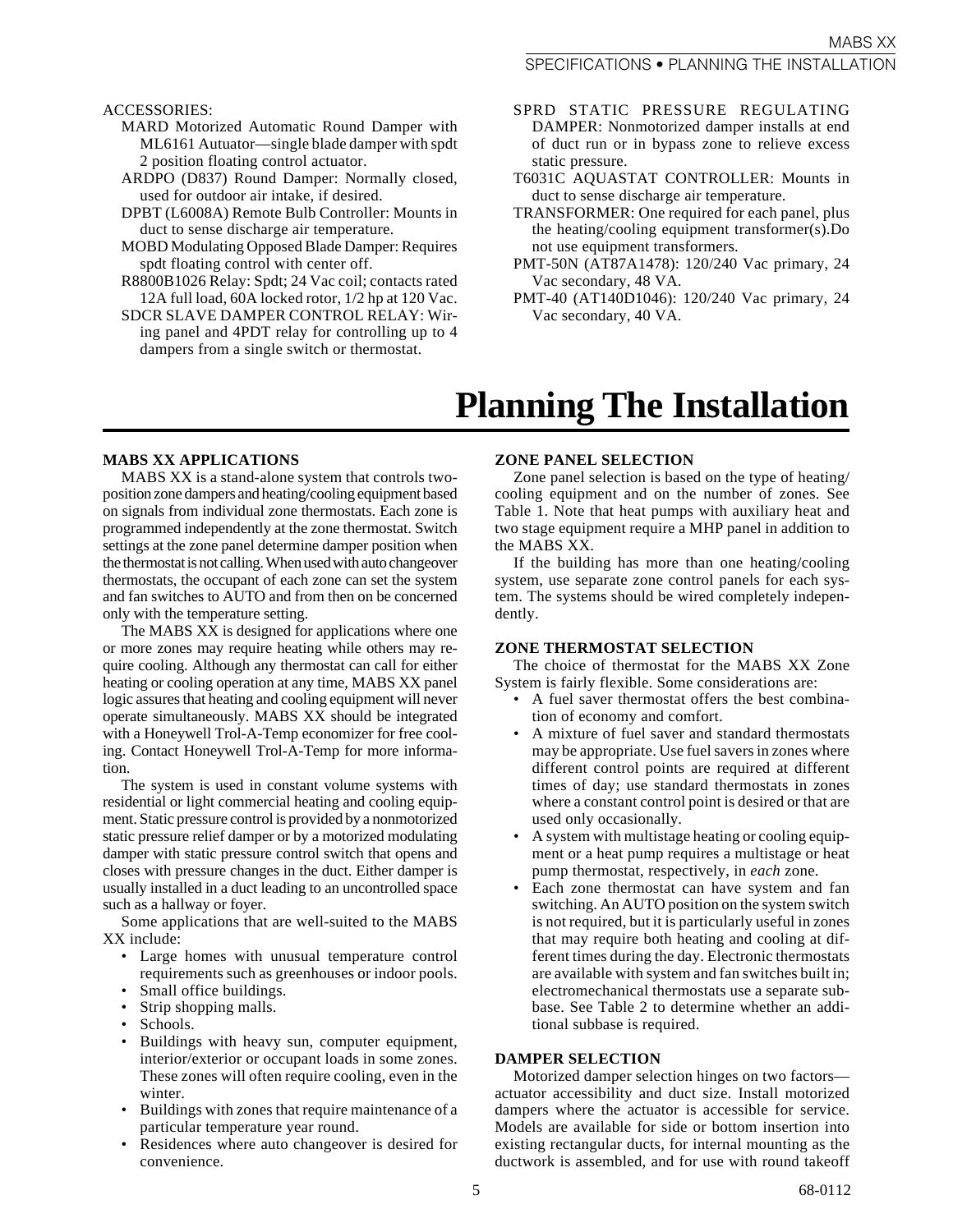ACCESSORIES:

- MARD Motorized Automatic Round Damper with ML6161 Autuator—single blade damper with spdt 2 position floating control actuator.
- ARDPO (D837) Round Damper: Normally closed, used for outdoor air intake, if desired.
- DPBT (L6008A) Remote Bulb Controller: Mounts in duct to sense discharge air temperature.
- MOBD Modulating Opposed Blade Damper: Requires spdt floating control with center off.
- R8800B1026 Relay: Spdt; 24 Vac coil; contacts rated 12A full load, 60A locked rotor, 1/2 hp at 120 Vac.
- SDCR SLAVE DAMPER CONTROL RELAY: Wiring panel and 4PDT relay for controlling up to 4 dampers from a single switch or thermostat.
- SPRD STATIC PRESSURE REGULATING DAMPER: Nonmotorized damper installs at end of duct run or in bypass zone to relieve excess static pressure.
- T6031C AQUASTAT CONTROLLER: Mounts in duct to sense discharge air temperature.
- TRANSFORMER: One required for each panel, plus the heating/cooling equipment transformer(s).Do not use equipment transformers.
- PMT-50N (AT87A1478): 120/240 Vac primary, 24 Vac secondary, 48 VA.
- PMT-40 (AT140D1046): 120/240 Vac primary, 24 Vac secondary, 40 VA.

### **Planning The Installation**

### **MABS XX APPLICATIONS**

MABS XX is a stand-alone system that controls twoposition zone dampers and heating/cooling equipment based on signals from individual zone thermostats. Each zone is programmed independently at the zone thermostat. Switch settings at the zone panel determine damper position when the thermostat is not calling. When used with auto changeover thermostats, the occupant of each zone can set the system and fan switches to AUTO and from then on be concerned only with the temperature setting.

The MABS XX is designed for applications where one or more zones may require heating while others may require cooling. Although any thermostat can call for either heating or cooling operation at any time, MABS XX panel logic assures that heating and cooling equipment will never operate simultaneously. MABS XX should be integrated with a Honeywell Trol-A-Temp economizer for free cooling. Contact Honeywell Trol-A-Temp for more information.

The system is used in constant volume systems with residential or light commercial heating and cooling equipment. Static pressure control is provided by a nonmotorized static pressure relief damper or by a motorized modulating damper with static pressure control switch that opens and closes with pressure changes in the duct. Either damper is usually installed in a duct leading to an uncontrolled space such as a hallway or foyer.

Some applications that are well-suited to the MABS XX include:

- Large homes with unusual temperature control requirements such as greenhouses or indoor pools.
- Small office buildings.
- Strip shopping malls.
- Schools.
- Buildings with heavy sun, computer equipment, interior/exterior or occupant loads in some zones. These zones will often require cooling, even in the winter.
- Buildings with zones that require maintenance of a particular temperature year round.
- Residences where auto changeover is desired for convenience.

### **ZONE PANEL SELECTION**

Zone panel selection is based on the type of heating/ cooling equipment and on the number of zones. See Table 1. Note that heat pumps with auxiliary heat and two stage equipment require a MHP panel in addition to the MABS XX.

If the building has more than one heating/cooling system, use separate zone control panels for each system. The systems should be wired completely independently.

#### **ZONE THERMOSTAT SELECTION**

The choice of thermostat for the MABS XX Zone System is fairly flexible. Some considerations are:

- A fuel saver thermostat offers the best combination of economy and comfort.
- A mixture of fuel saver and standard thermostats may be appropriate. Use fuel savers in zones where different control points are required at different times of day; use standard thermostats in zones where a constant control point is desired or that are used only occasionally.
- A system with multistage heating or cooling equipment or a heat pump requires a multistage or heat pump thermostat, respectively, in *each* zone.
- Each zone thermostat can have system and fan switching. An AUTO position on the system switch is not required, but it is particularly useful in zones that may require both heating and cooling at different times during the day. Electronic thermostats are available with system and fan switches built in; electromechanical thermostats use a separate subbase. See Table 2 to determine whether an additional subbase is required.

### **DAMPER SELECTION**

Motorized damper selection hinges on two factors actuator accessibility and duct size. Install motorized dampers where the actuator is accessible for service. Models are available for side or bottom insertion into existing rectangular ducts, for internal mounting as the ductwork is assembled, and for use with round takeoff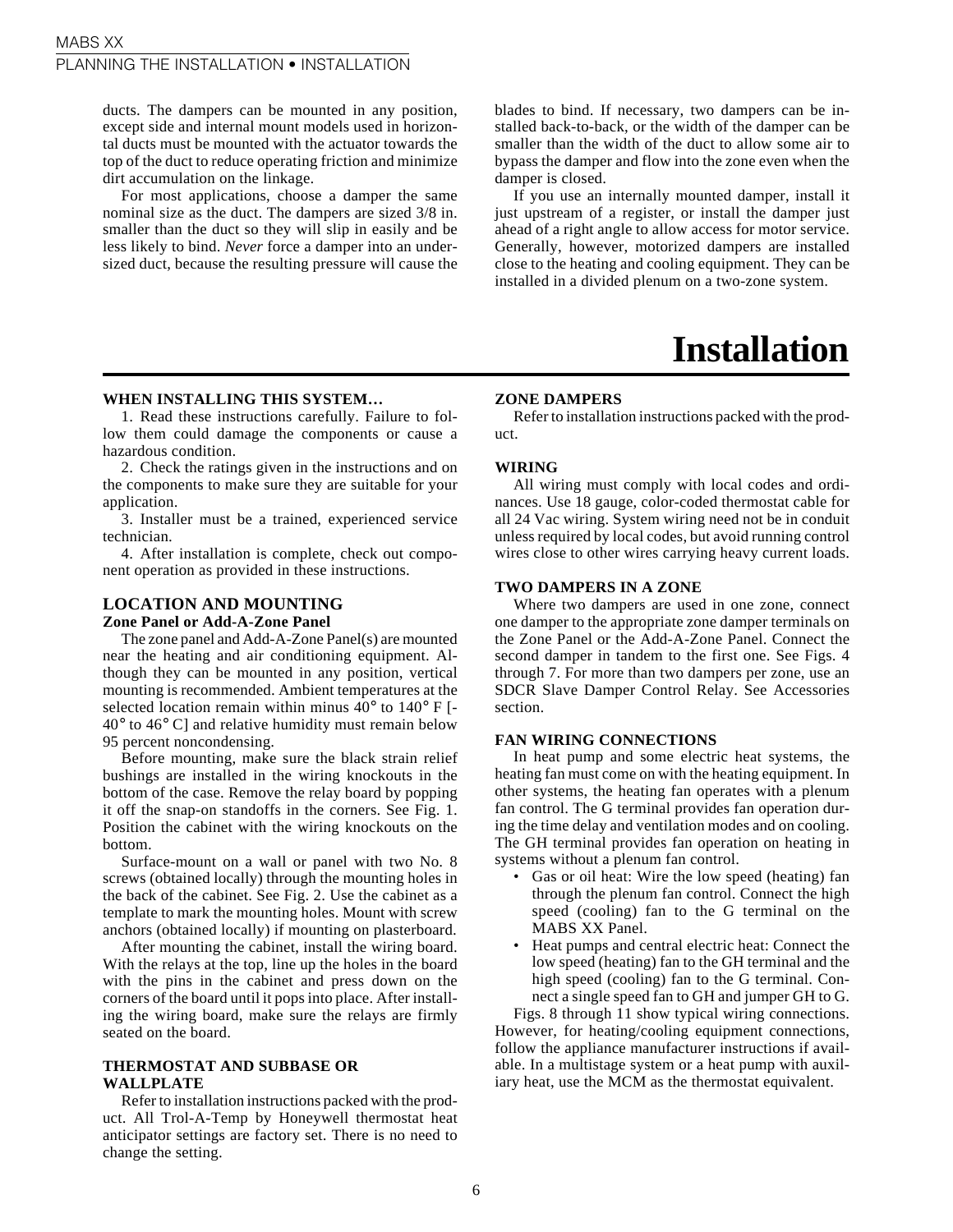ducts. The dampers can be mounted in any position, except side and internal mount models used in horizontal ducts must be mounted with the actuator towards the top of the duct to reduce operating friction and minimize dirt accumulation on the linkage.

For most applications, choose a damper the same nominal size as the duct. The dampers are sized 3/8 in. smaller than the duct so they will slip in easily and be less likely to bind. *Never* force a damper into an undersized duct, because the resulting pressure will cause the

**WHEN INSTALLING THIS SYSTEM…**

1. Read these instructions carefully. Failure to follow them could damage the components or cause a hazardous condition.

2. Check the ratings given in the instructions and on the components to make sure they are suitable for your application.

3. Installer must be a trained, experienced service technician.

4. After installation is complete, check out component operation as provided in these instructions.

### **LOCATION AND MOUNTING**

### **Zone Panel or Add-A-Zone Panel**

The zone panel and Add-A-Zone Panel(s) are mounted near the heating and air conditioning equipment. Although they can be mounted in any position, vertical mounting is recommended. Ambient temperatures at the selected location remain within minus 40° to 140° F [- 40° to 46° C] and relative humidity must remain below 95 percent noncondensing.

Before mounting, make sure the black strain relief bushings are installed in the wiring knockouts in the bottom of the case. Remove the relay board by popping it off the snap-on standoffs in the corners. See Fig. 1. Position the cabinet with the wiring knockouts on the bottom.

Surface-mount on a wall or panel with two No. 8 screws (obtained locally) through the mounting holes in the back of the cabinet. See Fig. 2. Use the cabinet as a template to mark the mounting holes. Mount with screw anchors (obtained locally) if mounting on plasterboard.

After mounting the cabinet, install the wiring board. With the relays at the top, line up the holes in the board with the pins in the cabinet and press down on the corners of the board until it pops into place. After installing the wiring board, make sure the relays are firmly seated on the board.

### **THERMOSTAT AND SUBBASE OR WALLPLATE**

Refer to installation instructions packed with the product. All Trol-A-Temp by Honeywell thermostat heat anticipator settings are factory set. There is no need to change the setting.

blades to bind. If necessary, two dampers can be installed back-to-back, or the width of the damper can be smaller than the width of the duct to allow some air to bypass the damper and flow into the zone even when the damper is closed.

If you use an internally mounted damper, install it just upstream of a register, or install the damper just ahead of a right angle to allow access for motor service. Generally, however, motorized dampers are installed close to the heating and cooling equipment. They can be installed in a divided plenum on a two-zone system.

### **Installation**

### **ZONE DAMPERS**

Refer to installation instructions packed with the product.

### **WIRING**

All wiring must comply with local codes and ordinances. Use 18 gauge, color-coded thermostat cable for all 24 Vac wiring. System wiring need not be in conduit unless required by local codes, but avoid running control wires close to other wires carrying heavy current loads.

### **TWO DAMPERS IN A ZONE**

Where two dampers are used in one zone, connect one damper to the appropriate zone damper terminals on the Zone Panel or the Add-A-Zone Panel. Connect the second damper in tandem to the first one. See Figs. 4 through 7. For more than two dampers per zone, use an SDCR Slave Damper Control Relay. See Accessories section.

### **FAN WIRING CONNECTIONS**

In heat pump and some electric heat systems, the heating fan must come on with the heating equipment. In other systems, the heating fan operates with a plenum fan control. The G terminal provides fan operation during the time delay and ventilation modes and on cooling. The GH terminal provides fan operation on heating in systems without a plenum fan control.

- Gas or oil heat: Wire the low speed (heating) fan through the plenum fan control. Connect the high speed (cooling) fan to the G terminal on the MABS XX Panel.
- Heat pumps and central electric heat: Connect the low speed (heating) fan to the GH terminal and the high speed (cooling) fan to the G terminal. Connect a single speed fan to GH and jumper GH to G.

Figs. 8 through 11 show typical wiring connections. However, for heating/cooling equipment connections, follow the appliance manufacturer instructions if available. In a multistage system or a heat pump with auxiliary heat, use the MCM as the thermostat equivalent.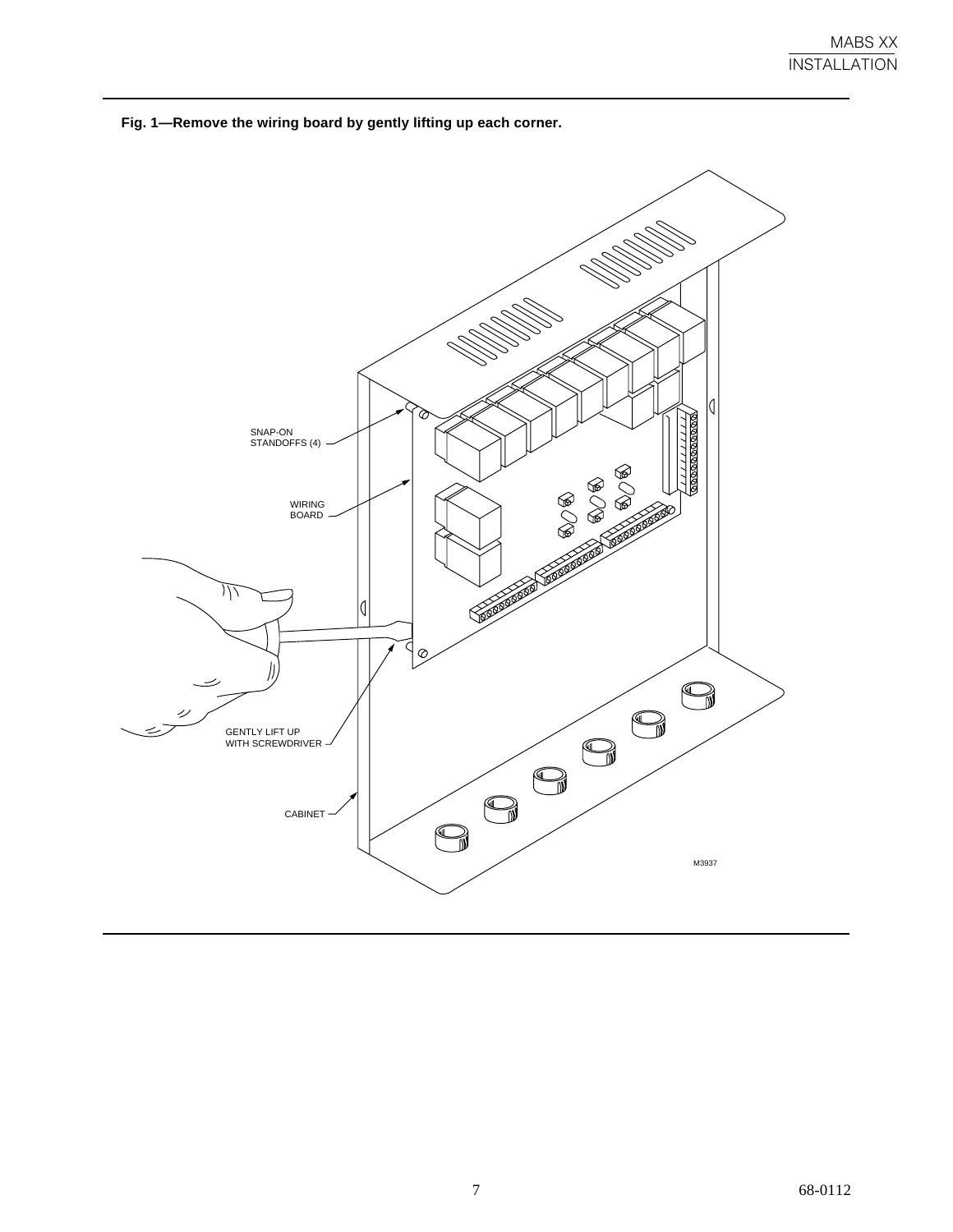

**Fig. 1—Remove the wiring board by gently lifting up each corner.**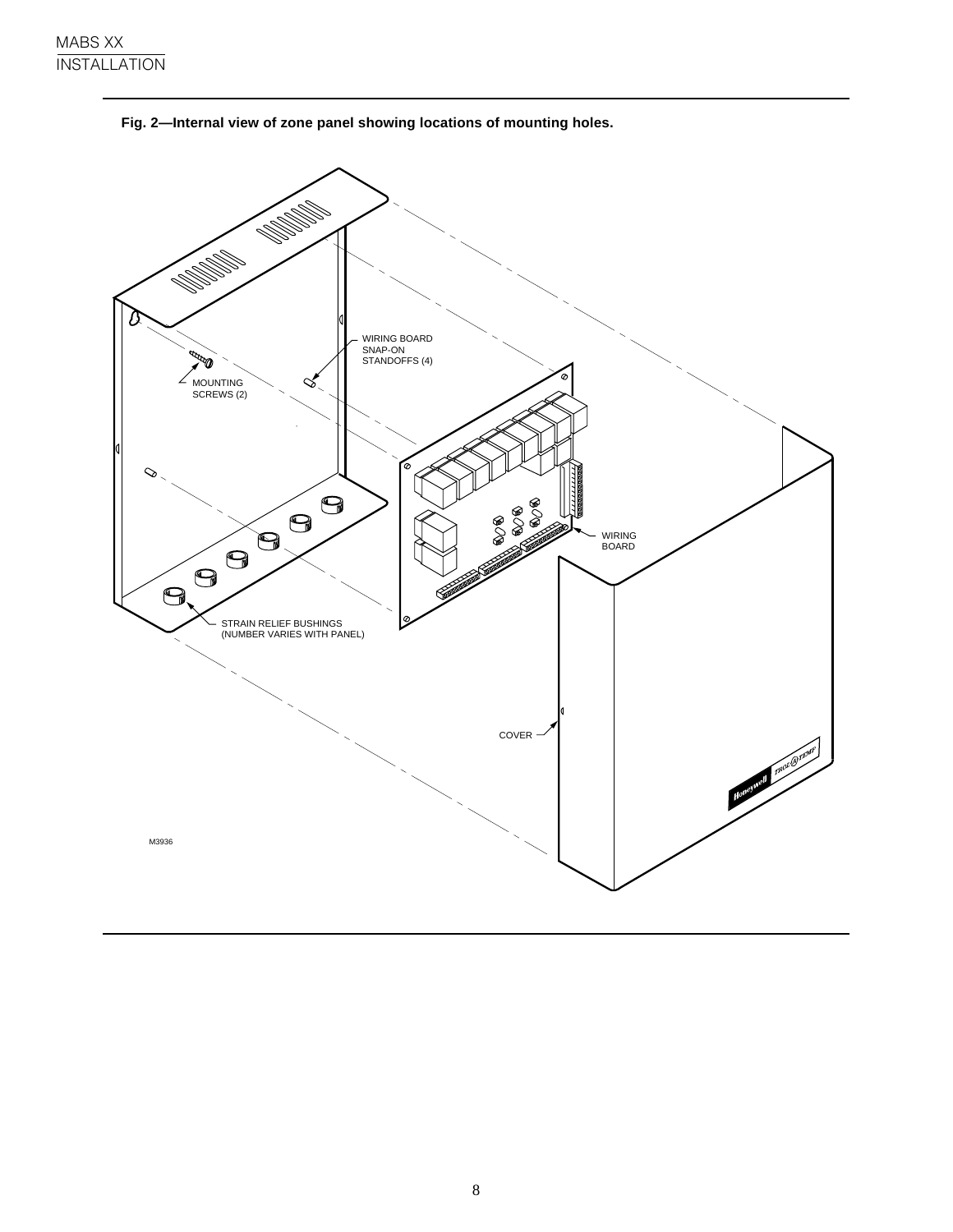

**Fig. 2—Internal view of zone panel showing locations of mounting holes.**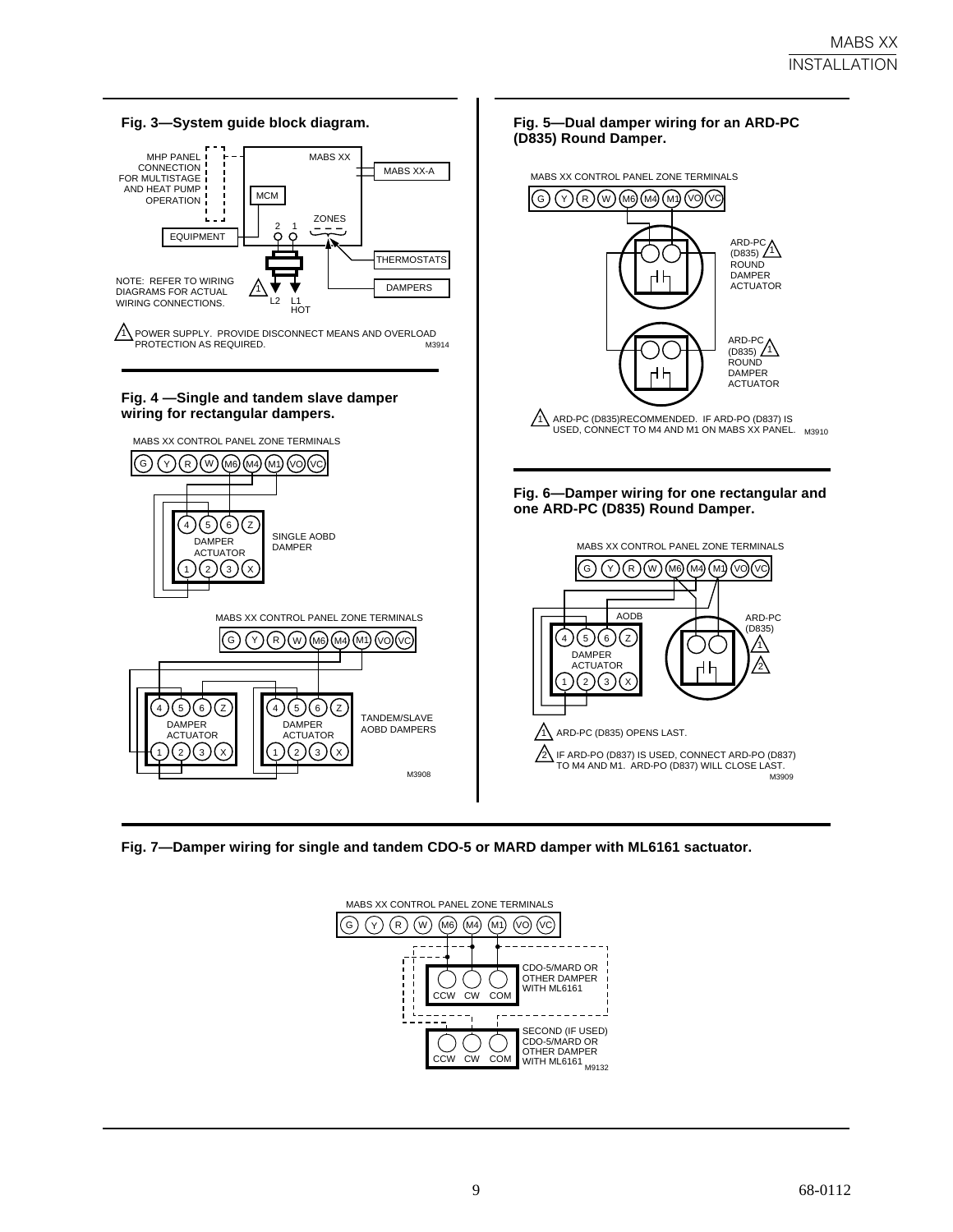

**Fig. 7—Damper wiring for single and tandem CDO-5 or MARD damper with ML6161 sactuator.**

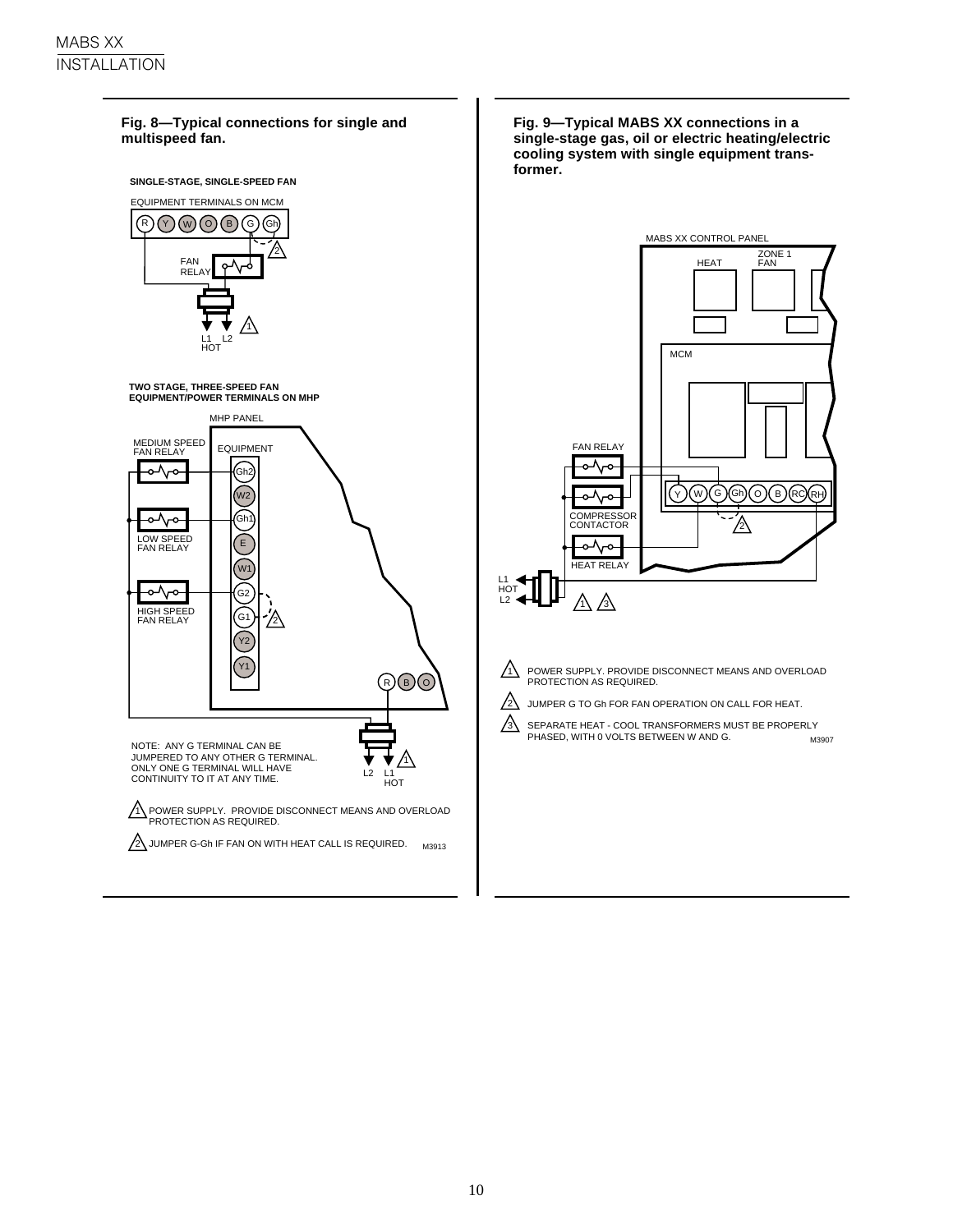### **Fig. 8—Typical connections for single and multispeed fan. SINGLE-STAGE, SINGLE-SPEED FAN** EQUIPMENT TERMINALS ON MCM  ${\mathbb R} \cap {\mathbb Q}$  (0)  ${\mathbb G}$  G) (6) 2 FAN ዮV **RELAY** 1 L1 HOT L2 **TWO STAGE, THREE-SPEED FAN EQUIPMENT/POWER TERMINALS ON MHP** MHP PANEL MEDIUM SPEED FAN RELAY EQUIPMENT ๛ ,<br>Gh2  $\sqrt{W^2}$ ৄ Gh1 LOW SPEED FAN RELAY E  $W$ र<br>वै .<br>G2 HIGH SPEED FAN RELAY  $\widetilde{\mathsf{G}}$ 1 2 Y2 Y1  $\circledR$   $\circledR$ NOTE: ANY G TERMINAL CAN BE JUMPERED TO ANY OTHER G TERMINAL. 1 ONLY ONE G TERMINAL WILL HAVE L2  $\overline{1}$ CONTINUITY TO IT AT ANY TIME. **HOT** 1\ POWER SUPPLY. PROVIDE DISCONNECT MEANS AND OVERLOAD<br>PROTECTION AS REQUIRED. 2\JUMPER G-Gh IF FAN ON WITH HEAT CALL IS REQUIRED. M3913

**Fig. 9—Typical MABS XX connections in a single-stage gas, oil or electric heating/electric cooling system with single equipment transformer.**



 $\sqrt{1}$  POWER SUPPLY. PROVIDE DISCONNECT MEANS AND OVERLOAD PROTECTION AS REQUIRED.

- $\Delta$ JUMPER G TO Gh FOR FAN OPERATION ON CALL FOR HEAT.
- SEPARATE HEAT COOL TRANSFORMERS MUST BE PROPERLY PHASED, WITH 0 VOLTS BETWEEN W AND G. M3907  $\mathbb{A}$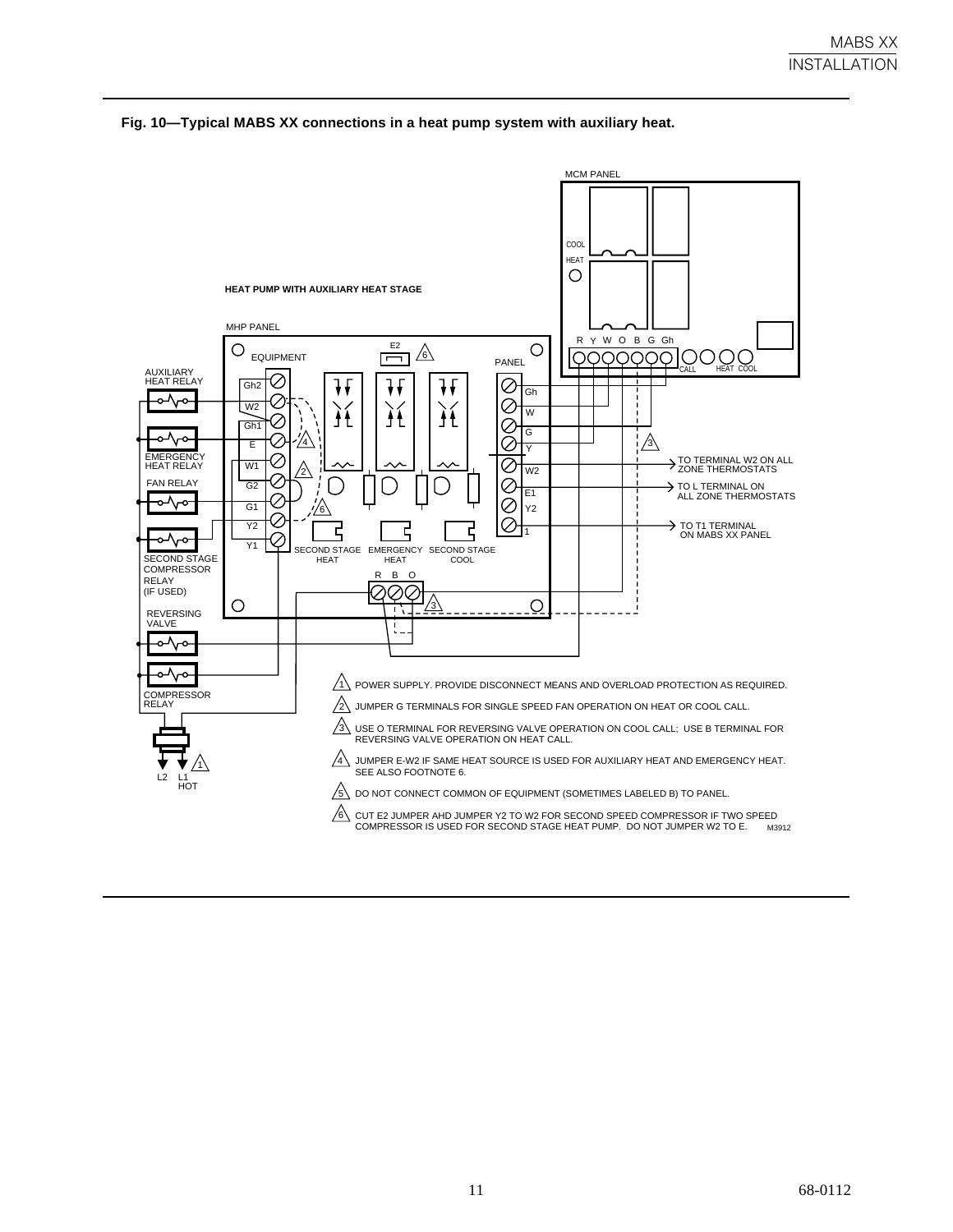

### **Fig. 10—Typical MABS XX connections in a heat pump system with auxiliary heat.**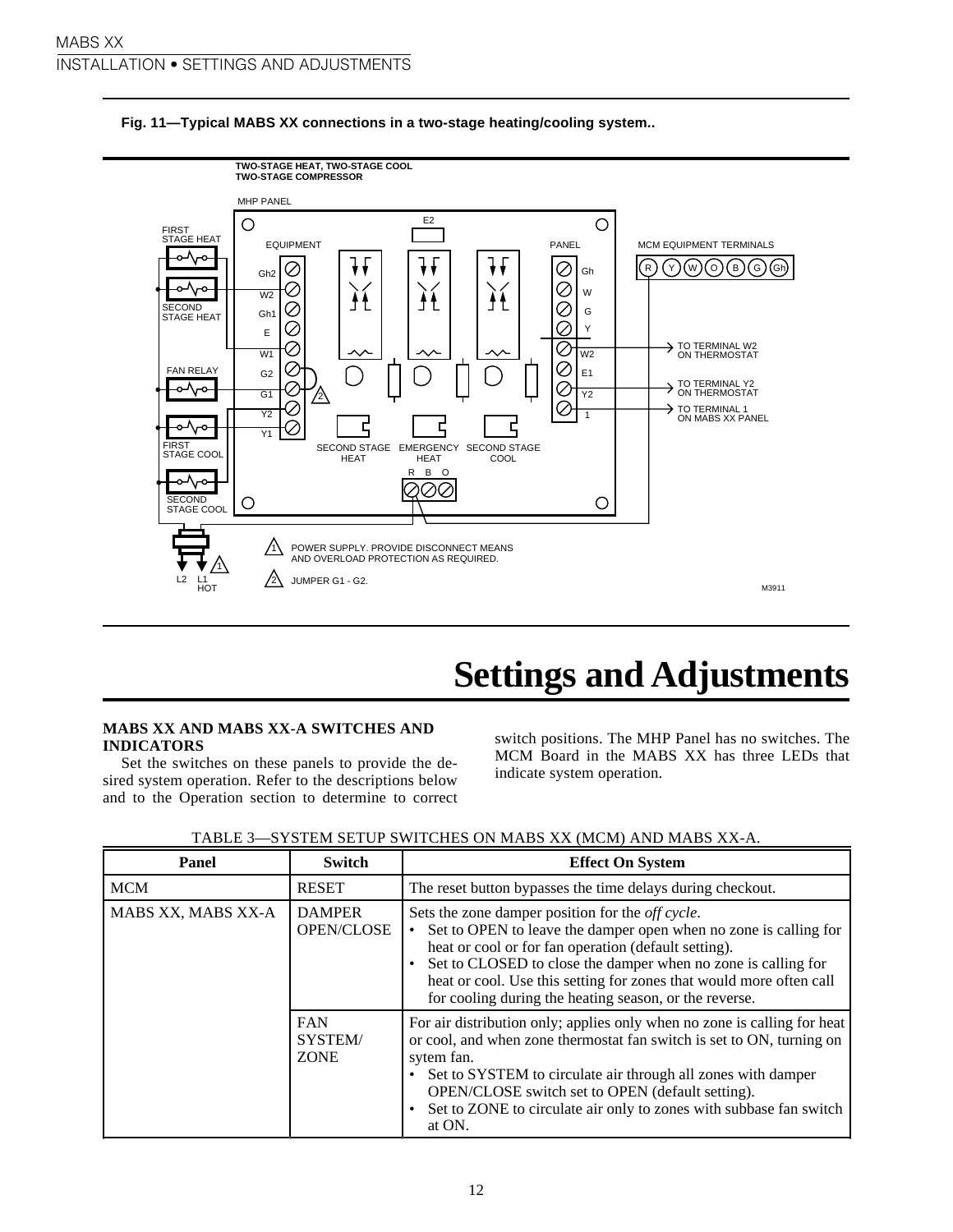

### **Fig. 11—Typical MABS XX connections in a two-stage heating/cooling system..**

### **Settings and Adjustments**

### **MABS XX AND MABS XX-A SWITCHES AND INDICATORS**

Set the switches on these panels to provide the desired system operation. Refer to the descriptions below and to the Operation section to determine to correct switch positions. The MHP Panel has no switches. The MCM Board in the MABS XX has three LEDs that indicate system operation.

| Panel              | <b>Switch</b>                        | <b>Effect On System</b>                                                                                                                                                                                                                                                                                                                                                        |
|--------------------|--------------------------------------|--------------------------------------------------------------------------------------------------------------------------------------------------------------------------------------------------------------------------------------------------------------------------------------------------------------------------------------------------------------------------------|
| <b>MCM</b>         | <b>RESET</b>                         | The reset button bypasses the time delays during checkout.                                                                                                                                                                                                                                                                                                                     |
| MABS XX, MABS XX-A | <b>DAMPER</b><br>OPEN/CLOSE          | Sets the zone damper position for the off cycle.<br>Set to OPEN to leave the damper open when no zone is calling for<br>heat or cool or for fan operation (default setting).<br>Set to CLOSED to close the damper when no zone is calling for<br>heat or cool. Use this setting for zones that would more often call<br>for cooling during the heating season, or the reverse. |
|                    | <b>FAN</b><br>SYSTEM/<br><b>ZONE</b> | For air distribution only; applies only when no zone is calling for heat<br>or cool, and when zone thermostat fan switch is set to ON, turning on<br>sytem fan.<br>Set to SYSTEM to circulate air through all zones with damper<br>OPEN/CLOSE switch set to OPEN (default setting).<br>Set to ZONE to circulate air only to zones with subbase fan switch<br>at ON.            |

| TABLE 3—SYSTEM SETUP SWITCHES ON MABS XX (MCM) AND MABS XX-A. |  |
|---------------------------------------------------------------|--|
|---------------------------------------------------------------|--|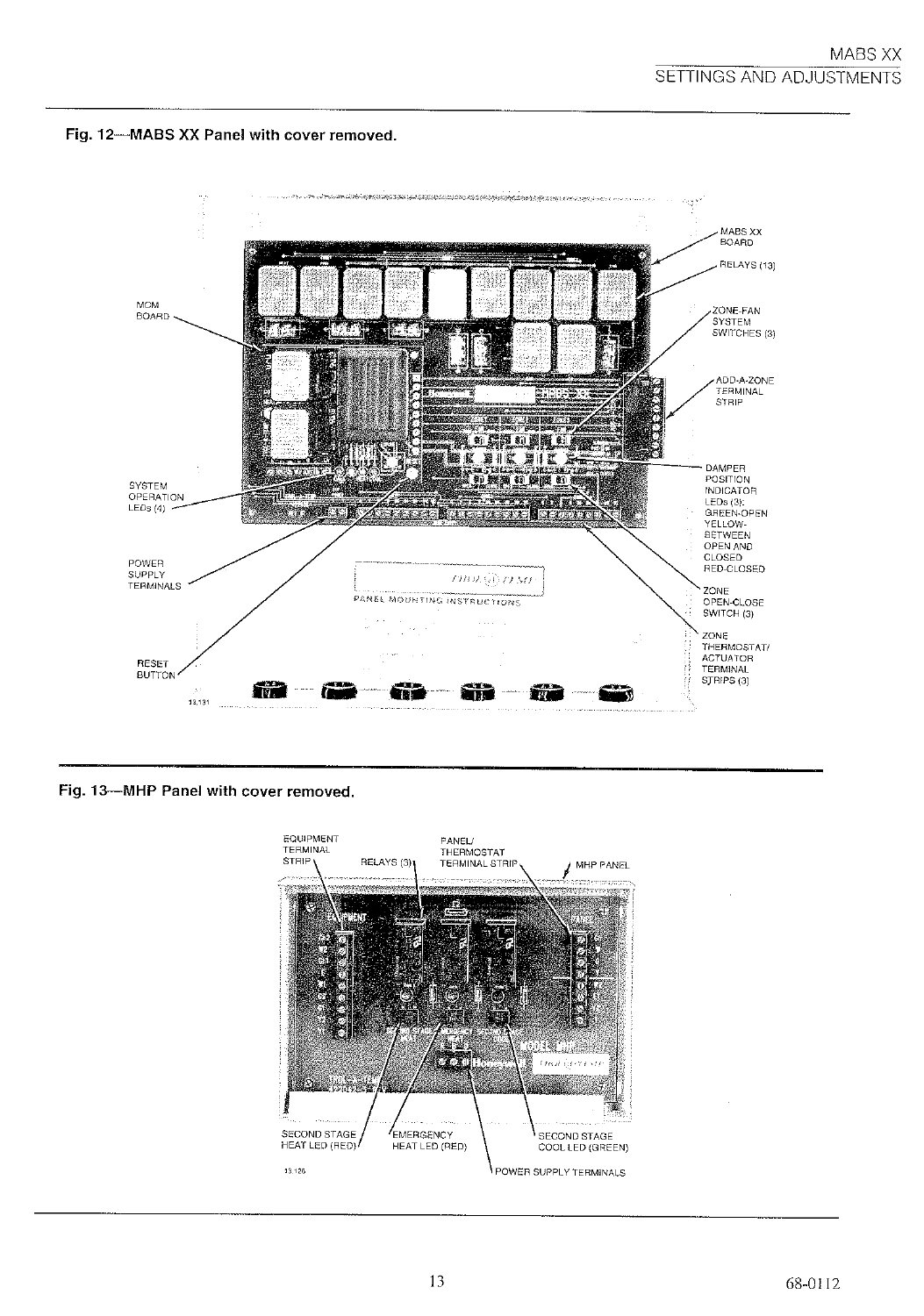



Fig. 13-MHP Panel with cover removed.

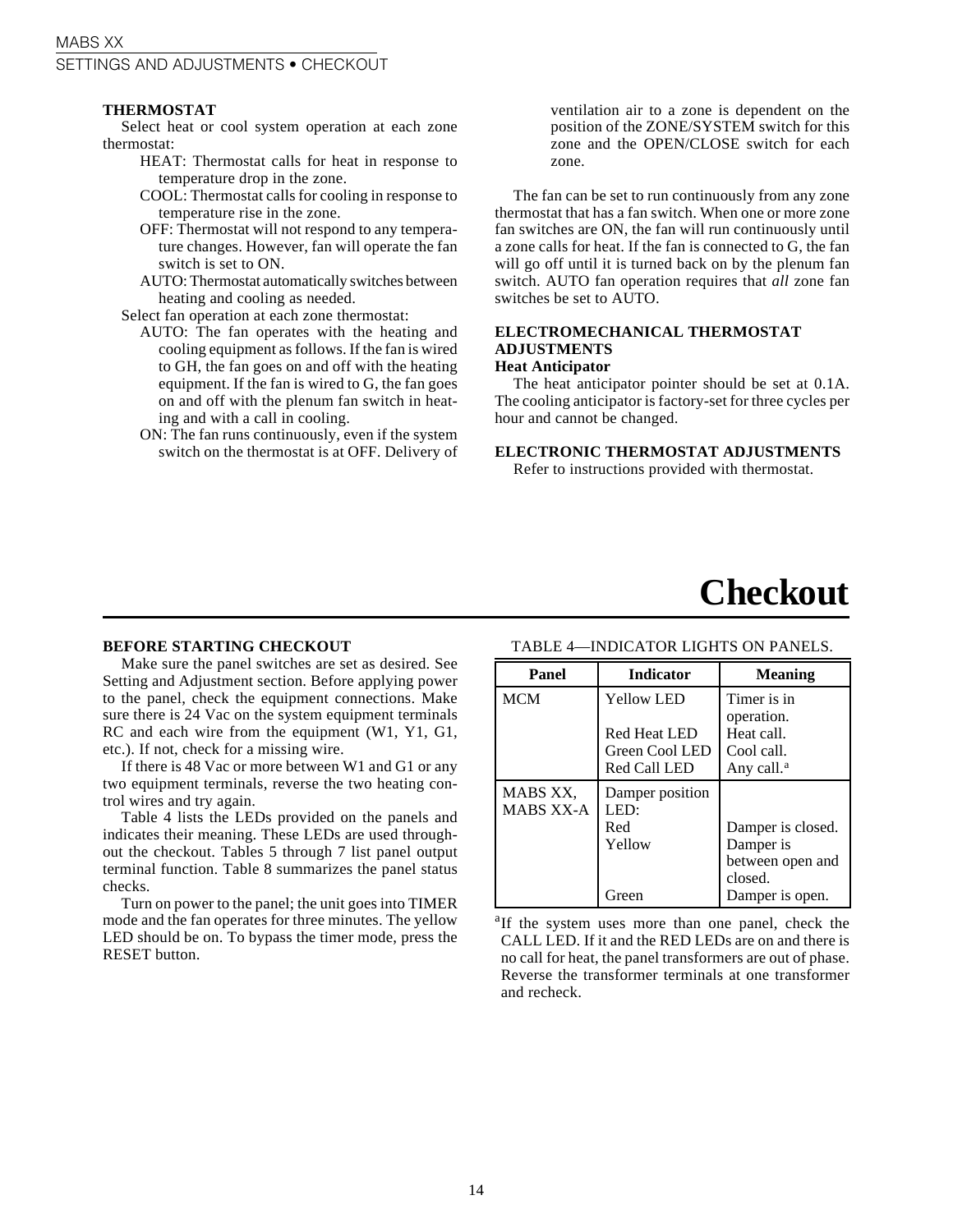### MABS XX SETTINGS AND ADJUSTMENTS • CHECKOUT

### **THERMOSTAT**

Select heat or cool system operation at each zone thermostat:

- HEAT: Thermostat calls for heat in response to temperature drop in the zone.
- COOL: Thermostat calls for cooling in response to temperature rise in the zone.
- OFF: Thermostat will not respond to any temperature changes. However, fan will operate the fan switch is set to ON.
- AUTO: Thermostat automatically switches between heating and cooling as needed.

Select fan operation at each zone thermostat:

- AUTO: The fan operates with the heating and cooling equipment as follows. If the fan is wired to GH, the fan goes on and off with the heating equipment. If the fan is wired to G, the fan goes on and off with the plenum fan switch in heating and with a call in cooling.
- ON: The fan runs continuously, even if the system switch on the thermostat is at OFF. Delivery of

ventilation air to a zone is dependent on the position of the ZONE/SYSTEM switch for this zone and the OPEN/CLOSE switch for each zone.

The fan can be set to run continuously from any zone thermostat that has a fan switch. When one or more zone fan switches are ON, the fan will run continuously until a zone calls for heat. If the fan is connected to G, the fan will go off until it is turned back on by the plenum fan switch. AUTO fan operation requires that *all* zone fan switches be set to AUTO.

### **ELECTROMECHANICAL THERMOSTAT ADJUSTMENTS Heat Anticipator**

The heat anticipator pointer should be set at 0.1A. The cooling anticipator is factory-set for three cycles per hour and cannot be changed.

**ELECTRONIC THERMOSTAT ADJUSTMENTS**

Refer to instructions provided with thermostat.

### **Checkout**

#### **BEFORE STARTING CHECKOUT**

Make sure the panel switches are set as desired. See Setting and Adjustment section. Before applying power to the panel, check the equipment connections. Make sure there is 24 Vac on the system equipment terminals RC and each wire from the equipment (W1, Y1, G1, etc.). If not, check for a missing wire.

If there is 48 Vac or more between W1 and G1 or any two equipment terminals, reverse the two heating control wires and try again.

Table 4 lists the LEDs provided on the panels and indicates their meaning. These LEDs are used throughout the checkout. Tables 5 through 7 list panel output terminal function. Table 8 summarizes the panel status checks.

Turn on power to the panel; the unit goes into TIMER mode and the fan operates for three minutes. The yellow LED should be on. To bypass the timer mode, press the RESET button.

### TABLE 4—INDICATOR LIGHTS ON PANELS.

| Panel                        | <b>Indicator</b>                                                           | <b>Meaning</b>                                                                   |
|------------------------------|----------------------------------------------------------------------------|----------------------------------------------------------------------------------|
| <b>MCM</b>                   | <b>Yellow LED</b><br><b>Red Heat LED</b><br>Green Cool LED<br>Red Call LED | Timer is in<br>operation.<br>Heat call.<br>Cool call.<br>Any call. <sup>a</sup>  |
| MABS XX,<br><b>MABS XX-A</b> | Damper position<br>LED:<br>Red<br>Yellow<br>Green                          | Damper is closed.<br>Damper is<br>between open and<br>closed.<br>Damper is open. |

<sup>a</sup>If the system uses more than one panel, check the CALL LED. If it and the RED LEDs are on and there is no call for heat, the panel transformers are out of phase. Reverse the transformer terminals at one transformer and recheck.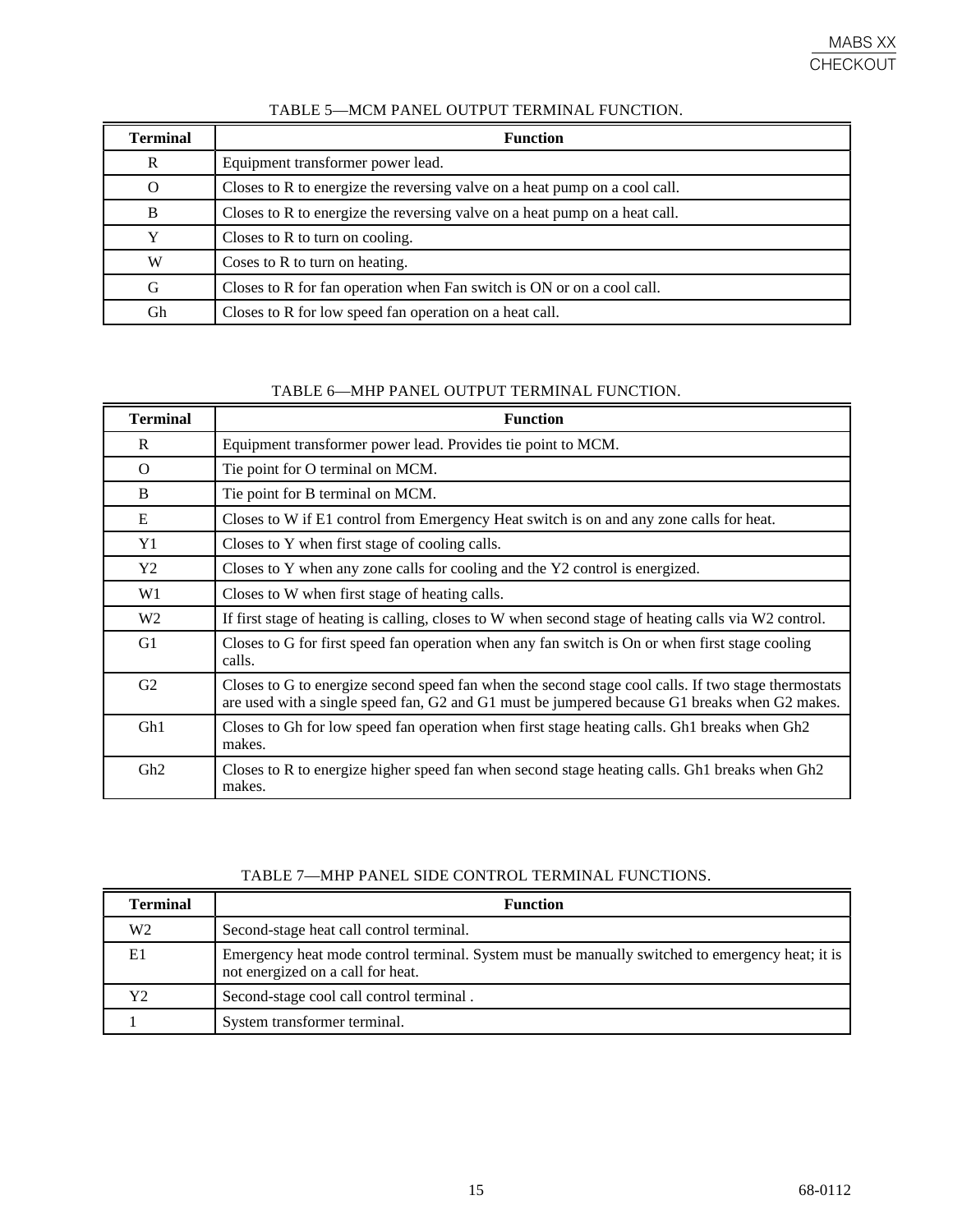| Terminal | <b>Function</b>                                                            |
|----------|----------------------------------------------------------------------------|
| R        | Equipment transformer power lead.                                          |
| Ω        | Closes to R to energize the reversing valve on a heat pump on a cool call. |
| B        | Closes to R to energize the reversing valve on a heat pump on a heat call. |
|          | Closes to R to turn on cooling.                                            |
| W        | Coses to R to turn on heating.                                             |
| G        | Closes to R for fan operation when Fan switch is ON or on a cool call.     |
| Gh       | Closes to R for low speed fan operation on a heat call.                    |

### TABLE 5—MCM PANEL OUTPUT TERMINAL FUNCTION.

TABLE 6—MHP PANEL OUTPUT TERMINAL FUNCTION.

| <b>Terminal</b> | <b>Function</b>                                                                                                                                                                                      |
|-----------------|------------------------------------------------------------------------------------------------------------------------------------------------------------------------------------------------------|
| R               | Equipment transformer power lead. Provides tie point to MCM.                                                                                                                                         |
| $\Omega$        | Tie point for O terminal on MCM.                                                                                                                                                                     |
| B               | Tie point for B terminal on MCM.                                                                                                                                                                     |
| E               | Closes to W if E1 control from Emergency Heat switch is on and any zone calls for heat.                                                                                                              |
| Y1              | Closes to Y when first stage of cooling calls.                                                                                                                                                       |
| Y2              | Closes to Y when any zone calls for cooling and the Y2 control is energized.                                                                                                                         |
| W <sub>1</sub>  | Closes to W when first stage of heating calls.                                                                                                                                                       |
| W <sub>2</sub>  | If first stage of heating is calling, closes to W when second stage of heating calls via W2 control.                                                                                                 |
| G1              | Closes to G for first speed fan operation when any fan switch is On or when first stage cooling<br>calls.                                                                                            |
| G2              | Closes to G to energize second speed fan when the second stage cool calls. If two stage thermostats<br>are used with a single speed fan, G2 and G1 must be jumpered because G1 breaks when G2 makes. |
| G <sub>h1</sub> | Closes to Gh for low speed fan operation when first stage heating calls. Gh1 breaks when Gh2<br>makes.                                                                                               |
| Gh <sub>2</sub> | Closes to R to energize higher speed fan when second stage heating calls. Gh1 breaks when Gh2<br>makes.                                                                                              |

### TABLE 7—MHP PANEL SIDE CONTROL TERMINAL FUNCTIONS.

| <b>Terminal</b> | <b>Function</b>                                                                                                                      |
|-----------------|--------------------------------------------------------------------------------------------------------------------------------------|
| W <sub>2</sub>  | Second-stage heat call control terminal.                                                                                             |
| E1              | Emergency heat mode control terminal. System must be manually switched to emergency heat; it is<br>not energized on a call for heat. |
| Y2              | Second-stage cool call control terminal.                                                                                             |
|                 | System transformer terminal.                                                                                                         |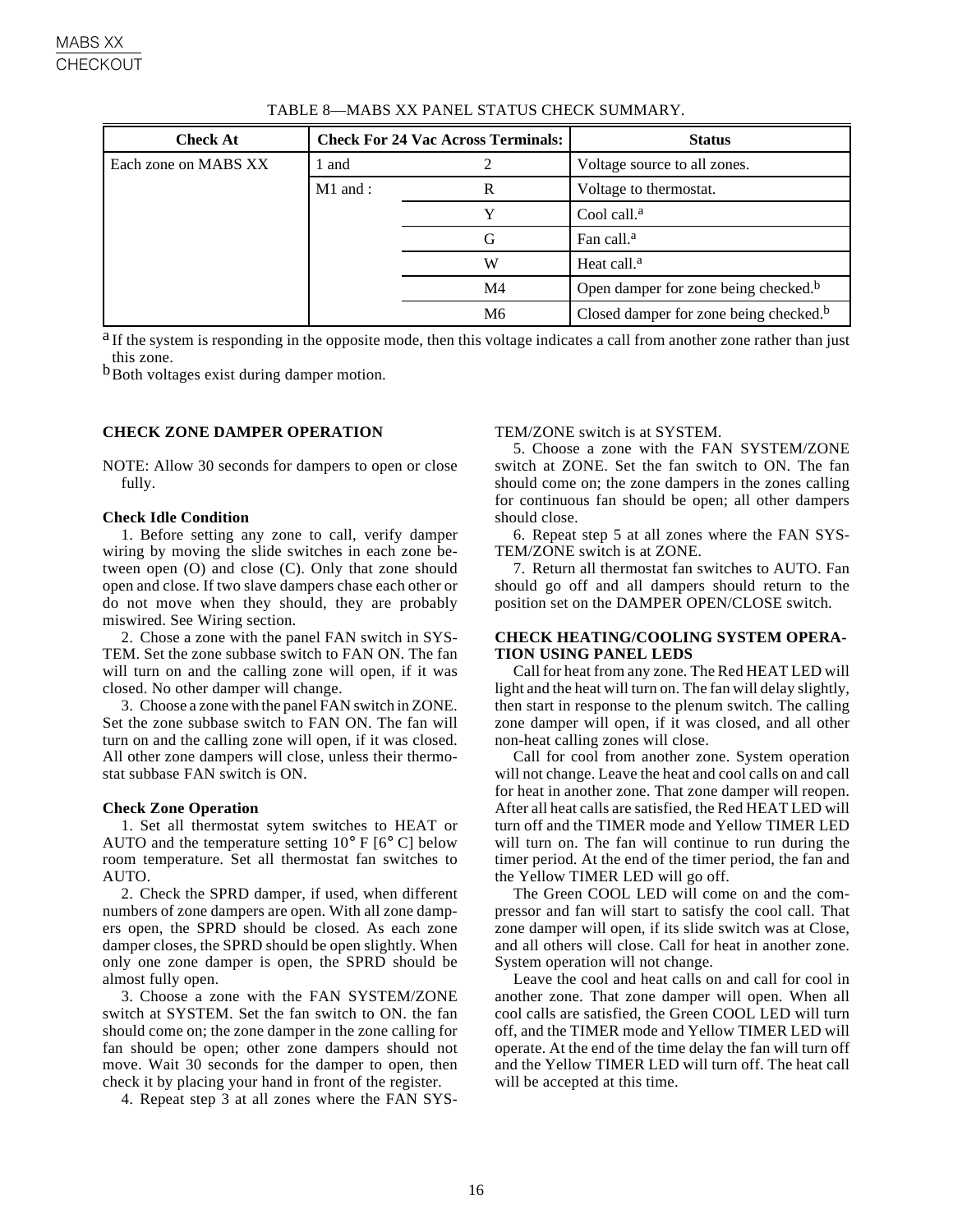| <b>Check At</b>      |            | <b>Check For 24 Vac Across Terminals:</b> | <b>Status</b>                                      |
|----------------------|------------|-------------------------------------------|----------------------------------------------------|
| Each zone on MABS XX | l and      |                                           | Voltage source to all zones.                       |
|                      | $M1$ and : | R                                         | Voltage to thermostat.                             |
|                      |            | Y                                         | Cool call. $a$                                     |
|                      |            | G                                         | Fan call. <sup>a</sup>                             |
|                      |            | W                                         | Heat call. <sup>a</sup>                            |
|                      |            | M <sub>4</sub>                            | Open damper for zone being checked. <sup>b</sup>   |
|                      |            | M6                                        | Closed damper for zone being checked. <sup>b</sup> |

TABLE 8—MABS XX PANEL STATUS CHECK SUMMARY.

<sup>a</sup> If the system is responding in the opposite mode, then this voltage indicates a call from another zone rather than just this zone.

b Both voltages exist during damper motion.

### **CHECK ZONE DAMPER OPERATION**

NOTE: Allow 30 seconds for dampers to open or close fully.

#### **Check Idle Condition**

1. Before setting any zone to call, verify damper wiring by moving the slide switches in each zone between open (O) and close (C). Only that zone should open and close. If two slave dampers chase each other or do not move when they should, they are probably miswired. See Wiring section.

2. Chose a zone with the panel FAN switch in SYS-TEM. Set the zone subbase switch to FAN ON. The fan will turn on and the calling zone will open, if it was closed. No other damper will change.

3. Choose a zone with the panel FAN switch in ZONE. Set the zone subbase switch to FAN ON. The fan will turn on and the calling zone will open, if it was closed. All other zone dampers will close, unless their thermostat subbase FAN switch is ON.

#### **Check Zone Operation**

1. Set all thermostat sytem switches to HEAT or AUTO and the temperature setting  $10^{\circ}$  F [6 $^{\circ}$  C] below room temperature. Set all thermostat fan switches to AUTO.

2. Check the SPRD damper, if used, when different numbers of zone dampers are open. With all zone dampers open, the SPRD should be closed. As each zone damper closes, the SPRD should be open slightly. When only one zone damper is open, the SPRD should be almost fully open.

3. Choose a zone with the FAN SYSTEM/ZONE switch at SYSTEM. Set the fan switch to ON. the fan should come on; the zone damper in the zone calling for fan should be open; other zone dampers should not move. Wait 30 seconds for the damper to open, then check it by placing your hand in front of the register.

4. Repeat step 3 at all zones where the FAN SYS-

#### TEM/ZONE switch is at SYSTEM.

5. Choose a zone with the FAN SYSTEM/ZONE switch at ZONE. Set the fan switch to ON. The fan should come on; the zone dampers in the zones calling for continuous fan should be open; all other dampers should close.

6. Repeat step 5 at all zones where the FAN SYS-TEM/ZONE switch is at ZONE.

7. Return all thermostat fan switches to AUTO. Fan should go off and all dampers should return to the position set on the DAMPER OPEN/CLOSE switch.

### **CHECK HEATING/COOLING SYSTEM OPERA-TION USING PANEL LEDS**

Call for heat from any zone. The Red HEAT LED will light and the heat will turn on. The fan will delay slightly, then start in response to the plenum switch. The calling zone damper will open, if it was closed, and all other non-heat calling zones will close.

Call for cool from another zone. System operation will not change. Leave the heat and cool calls on and call for heat in another zone. That zone damper will reopen. After all heat calls are satisfied, the Red HEAT LED will turn off and the TIMER mode and Yellow TIMER LED will turn on. The fan will continue to run during the timer period. At the end of the timer period, the fan and the Yellow TIMER LED will go off.

The Green COOL LED will come on and the compressor and fan will start to satisfy the cool call. That zone damper will open, if its slide switch was at Close, and all others will close. Call for heat in another zone. System operation will not change.

Leave the cool and heat calls on and call for cool in another zone. That zone damper will open. When all cool calls are satisfied, the Green COOL LED will turn off, and the TIMER mode and Yellow TIMER LED will operate. At the end of the time delay the fan will turn off and the Yellow TIMER LED will turn off. The heat call will be accepted at this time.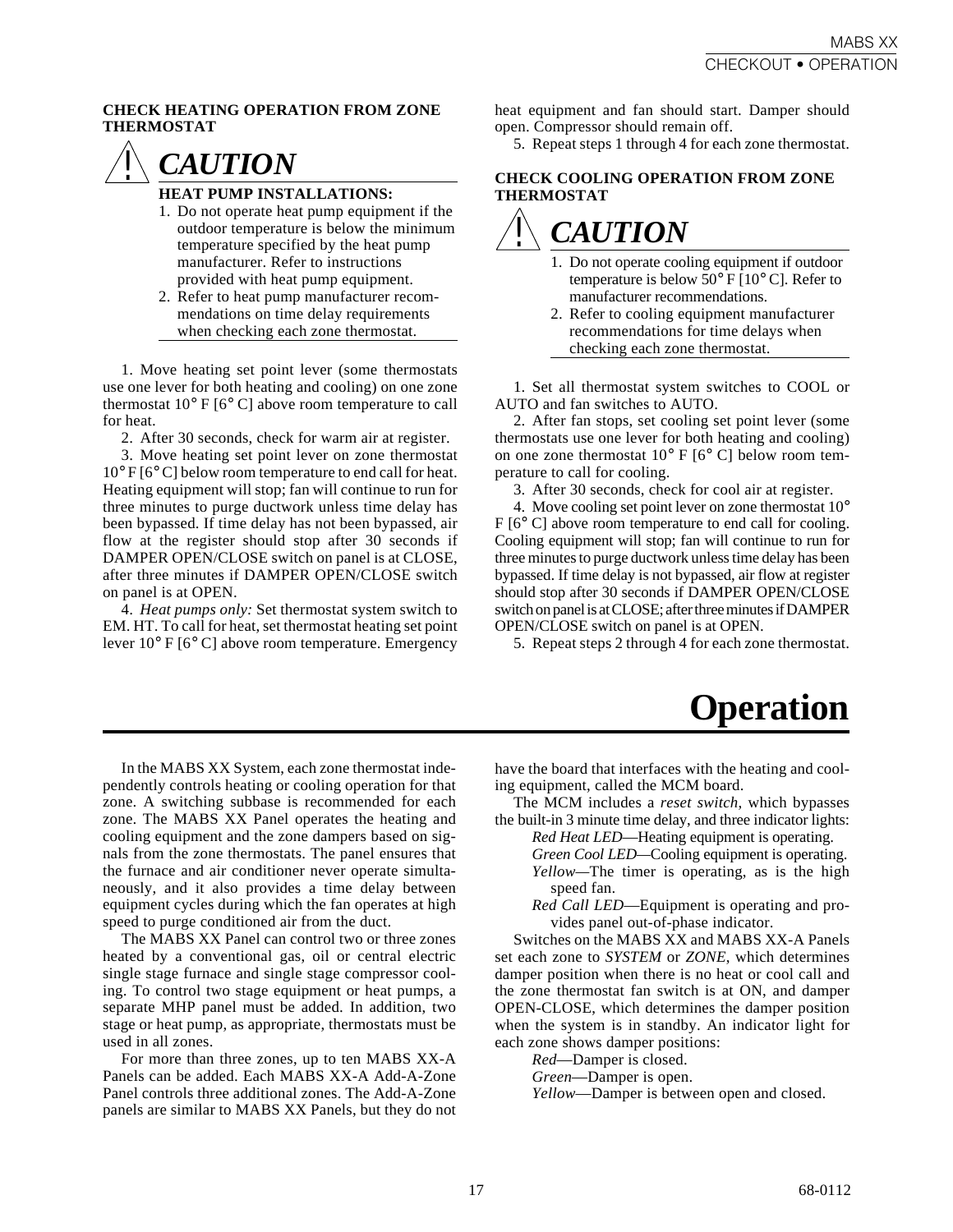### **CHECK HEATING OPERATION FROM ZONE THERMOSTAT**



### **HEAT PUMP INSTALLATIONS:**

- 1. Do not operate heat pump equipment if the outdoor temperature is below the minimum temperature specified by the heat pump manufacturer. Refer to instructions provided with heat pump equipment.
- 2. Refer to heat pump manufacturer recommendations on time delay requirements when checking each zone thermostat.

1. Move heating set point lever (some thermostats use one lever for both heating and cooling) on one zone thermostat  $10^{\circ}$  F [6<sup>o</sup> C] above room temperature to call for heat.

2. After 30 seconds, check for warm air at register.

3. Move heating set point lever on zone thermostat 10° F [6° C] below room temperature to end call for heat. Heating equipment will stop; fan will continue to run for three minutes to purge ductwork unless time delay has been bypassed. If time delay has not been bypassed, air flow at the register should stop after 30 seconds if DAMPER OPEN/CLOSE switch on panel is at CLOSE, after three minutes if DAMPER OPEN/CLOSE switch on panel is at OPEN.

4. *Heat pumps only:* Set thermostat system switch to EM. HT. To call for heat, set thermostat heating set point lever 10° F [6° C] above room temperature. Emergency

heat equipment and fan should start. Damper should open. Compressor should remain off.

5. Repeat steps 1 through 4 for each zone thermostat.

### **CHECK COOLING OPERATION FROM ZONE THERMOSTAT**

### *CAUTION !*

- 1. Do not operate cooling equipment if outdoor temperature is below  $50^{\circ}$  F  $[10^{\circ}$  C]. Refer to manufacturer recommendations.
- 2. Refer to cooling equipment manufacturer recommendations for time delays when checking each zone thermostat.

1. Set all thermostat system switches to COOL or AUTO and fan switches to AUTO.

2. After fan stops, set cooling set point lever (some thermostats use one lever for both heating and cooling) on one zone thermostat  $10^{\circ}$  F [6<sup>o</sup> C] below room temperature to call for cooling.

3. After 30 seconds, check for cool air at register.

4. Move cooling set point lever on zone thermostat 10° F [6° C] above room temperature to end call for cooling. Cooling equipment will stop; fan will continue to run for three minutes to purge ductwork unless time delay has been bypassed. If time delay is not bypassed, air flow at register should stop after 30 seconds if DAMPER OPEN/CLOSE switch on panel is at CLOSE; after three minutes if DAMPER OPEN/CLOSE switch on panel is at OPEN.

5. Repeat steps 2 through 4 for each zone thermostat.

### **Operation**

In the MABS XX System, each zone thermostat independently controls heating or cooling operation for that zone. A switching subbase is recommended for each zone. The MABS XX Panel operates the heating and cooling equipment and the zone dampers based on signals from the zone thermostats. The panel ensures that the furnace and air conditioner never operate simultaneously, and it also provides a time delay between equipment cycles during which the fan operates at high speed to purge conditioned air from the duct.

The MABS XX Panel can control two or three zones heated by a conventional gas, oil or central electric single stage furnace and single stage compressor cooling. To control two stage equipment or heat pumps, a separate MHP panel must be added. In addition, two stage or heat pump, as appropriate, thermostats must be used in all zones.

For more than three zones, up to ten MABS XX-A Panels can be added. Each MABS XX-A Add-A-Zone Panel controls three additional zones. The Add-A-Zone panels are similar to MABS XX Panels, but they do not have the board that interfaces with the heating and cooling equipment, called the MCM board.

The MCM includes a *reset switch*, which bypasses the built-in 3 minute time delay, and three indicator lights:

*Red Heat LED*—Heating equipment is operating.

*Green Cool LED—*Cooling equipment is operating.

- *Yellow—*The timer is operating, as is the high speed fan.
- *Red Call LED*—Equipment is operating and provides panel out-of-phase indicator.

Switches on the MABS XX and MABS XX-A Panels set each zone to *SYSTEM* or *ZONE*, which determines damper position when there is no heat or cool call and the zone thermostat fan switch is at ON, and damper OPEN-CLOSE, which determines the damper position when the system is in standby. An indicator light for each zone shows damper positions:

*Red*—Damper is closed.

*Green*—Damper is open.

*Yellow*—Damper is between open and closed.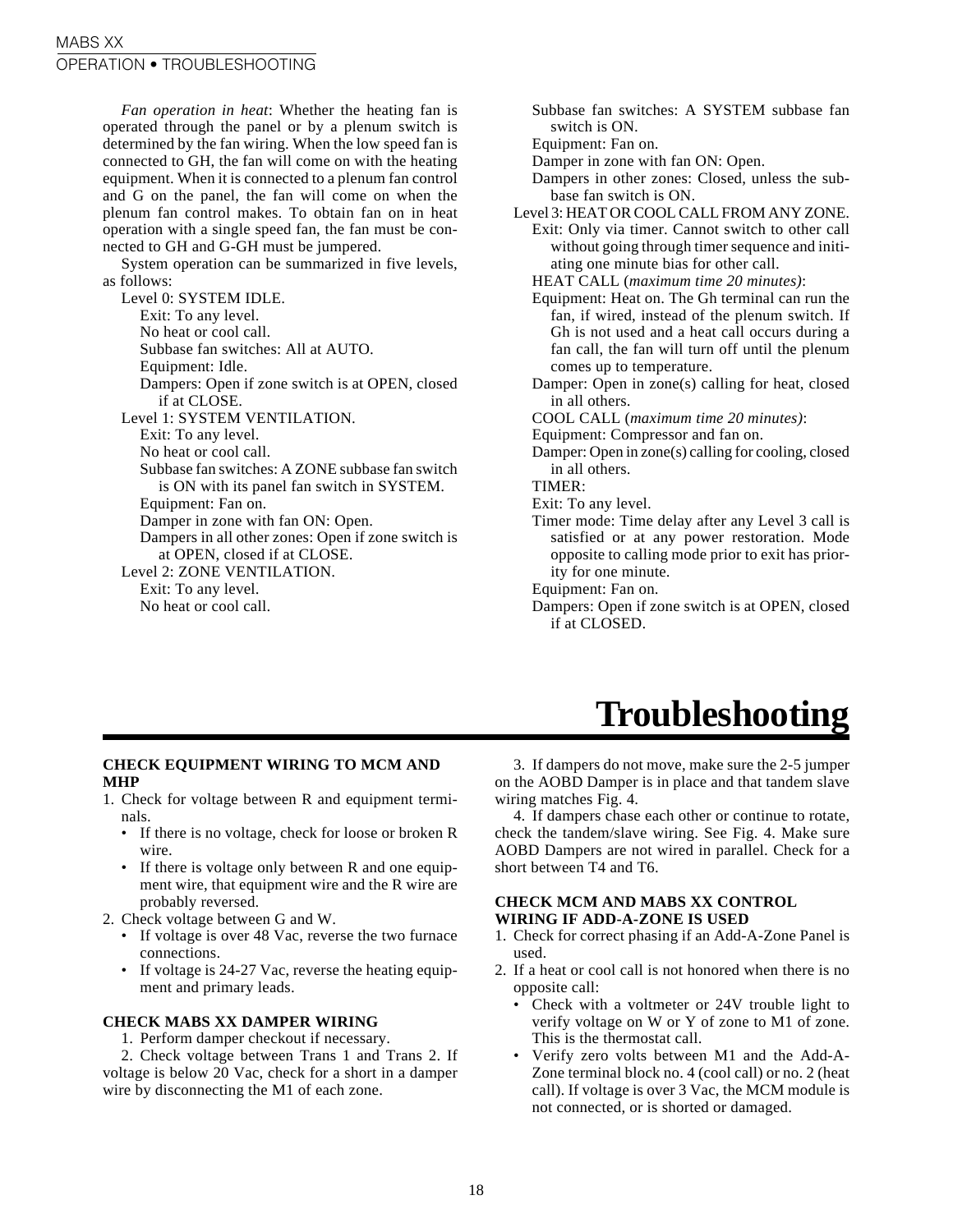*Fan operation in heat*: Whether the heating fan is operated through the panel or by a plenum switch is determined by the fan wiring. When the low speed fan is connected to GH, the fan will come on with the heating equipment. When it is connected to a plenum fan control and G on the panel, the fan will come on when the plenum fan control makes. To obtain fan on in heat operation with a single speed fan, the fan must be connected to GH and G-GH must be jumpered.

System operation can be summarized in five levels, as follows:

Level 0: SYSTEM IDLE. Exit: To any level. No heat or cool call. Subbase fan switches: All at AUTO. Equipment: Idle. Dampers: Open if zone switch is at OPEN, closed if at CLOSE. Level 1: SYSTEM VENTILATION. Exit: To any level. No heat or cool call. Subbase fan switches: A ZONE subbase fan switch is ON with its panel fan switch in SYSTEM. Equipment: Fan on. Damper in zone with fan ON: Open. Dampers in all other zones: Open if zone switch is at OPEN, closed if at CLOSE. Level 2: ZONE VENTILATION. Exit: To any level. No heat or cool call.

Subbase fan switches: A SYSTEM subbase fan switch is ON.

Equipment: Fan on.

- Damper in zone with fan ON: Open.
- Dampers in other zones: Closed, unless the subbase fan switch is ON.
- Level 3: HEAT OR COOL CALL FROM ANY ZONE.
	- Exit: Only via timer. Cannot switch to other call without going through timer sequence and initiating one minute bias for other call.
	- HEAT CALL (*maximum time 20 minutes)*:
	- Equipment: Heat on. The Gh terminal can run the fan, if wired, instead of the plenum switch. If Gh is not used and a heat call occurs during a fan call, the fan will turn off until the plenum comes up to temperature.
	- Damper: Open in zone(s) calling for heat, closed in all others.
	- COOL CALL (*maximum time 20 minutes)*:
	- Equipment: Compressor and fan on.
	- Damper: Open in zone(s) calling for cooling, closed in all others.

TIMER:

- Exit: To any level.
- Timer mode: Time delay after any Level 3 call is satisfied or at any power restoration. Mode opposite to calling mode prior to exit has priority for one minute.
- Equipment: Fan on.
- Dampers: Open if zone switch is at OPEN, closed if at CLOSED.

## **Troubleshooting**

### **CHECK EQUIPMENT WIRING TO MCM AND MHP**

- 1. Check for voltage between R and equipment terminals.
	- If there is no voltage, check for loose or broken R wire.
	- If there is voltage only between R and one equipment wire, that equipment wire and the R wire are probably reversed.
- 2. Check voltage between G and W.
	- If voltage is over 48 Vac, reverse the two furnace connections.
	- If voltage is 24-27 Vac, reverse the heating equipment and primary leads.

### **CHECK MABS XX DAMPER WIRING**

1. Perform damper checkout if necessary.

2. Check voltage between Trans 1 and Trans 2. If voltage is below 20 Vac, check for a short in a damper wire by disconnecting the M1 of each zone.

3. If dampers do not move, make sure the 2-5 jumper on the AOBD Damper is in place and that tandem slave wiring matches Fig. 4.

4. If dampers chase each other or continue to rotate, check the tandem/slave wiring. See Fig. 4. Make sure AOBD Dampers are not wired in parallel. Check for a short between T4 and T6.

### **CHECK MCM AND MABS XX CONTROL WIRING IF ADD-A-ZONE IS USED**

- 1. Check for correct phasing if an Add-A-Zone Panel is used.
- 2. If a heat or cool call is not honored when there is no opposite call:
	- Check with a voltmeter or 24V trouble light to verify voltage on W or Y of zone to M1 of zone. This is the thermostat call.
	- Verify zero volts between M1 and the Add-A-Zone terminal block no. 4 (cool call) or no. 2 (heat call). If voltage is over 3 Vac, the MCM module is not connected, or is shorted or damaged.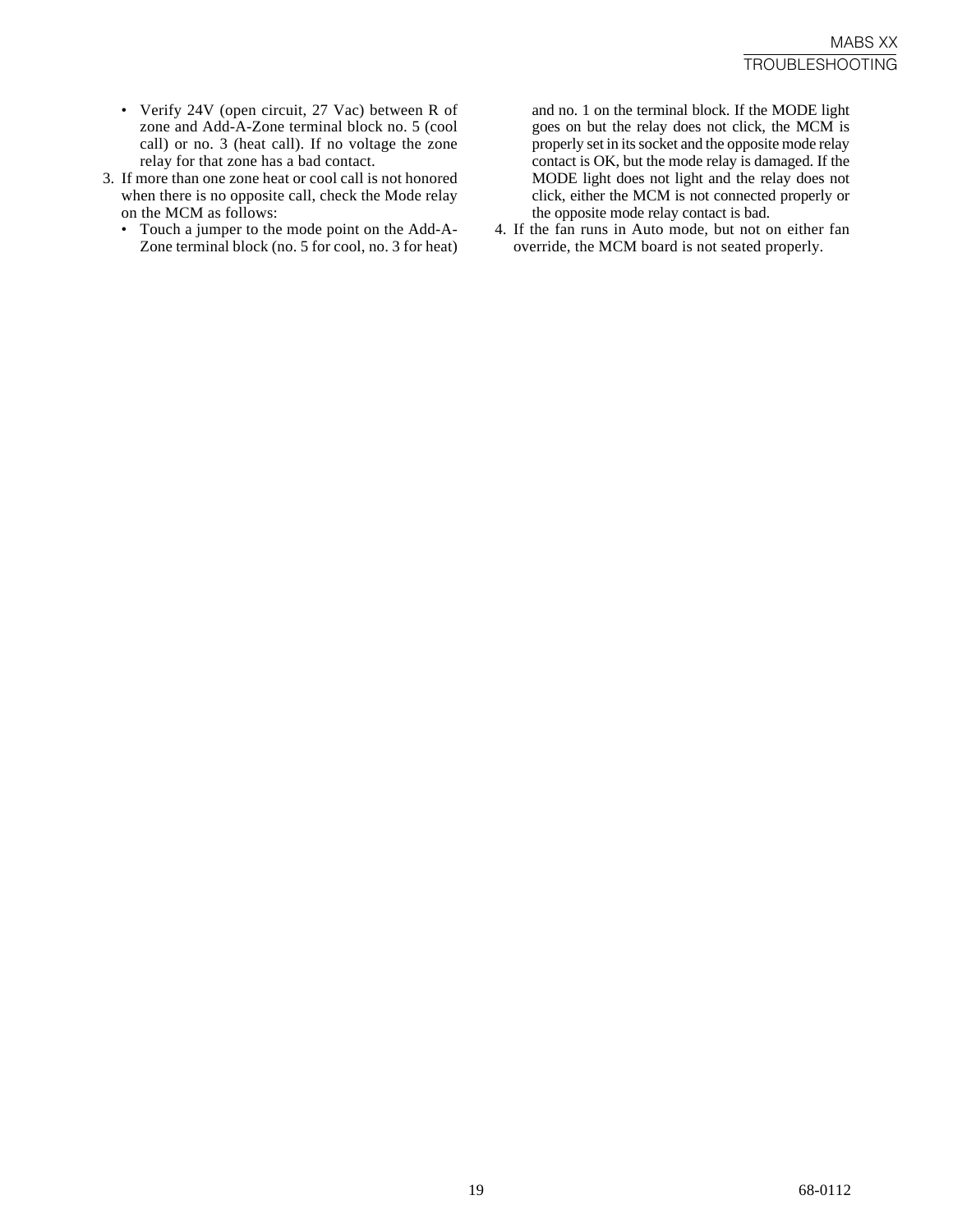- Verify 24V (open circuit, 27 Vac) between R of zone and Add-A-Zone terminal block no. 5 (cool call) or no. 3 (heat call). If no voltage the zone relay for that zone has a bad contact.
- 3. If more than one zone heat or cool call is not honored when there is no opposite call, check the Mode relay on the MCM as follows:
	- Touch a jumper to the mode point on the Add-A-Zone terminal block (no. 5 for cool, no. 3 for heat)

and no. 1 on the terminal block. If the MODE light goes on but the relay does not click, the MCM is properly set in its socket and the opposite mode relay contact is OK, but the mode relay is damaged. If the MODE light does not light and the relay does not click, either the MCM is not connected properly or the opposite mode relay contact is bad.

4. If the fan runs in Auto mode, but not on either fan override, the MCM board is not seated properly.